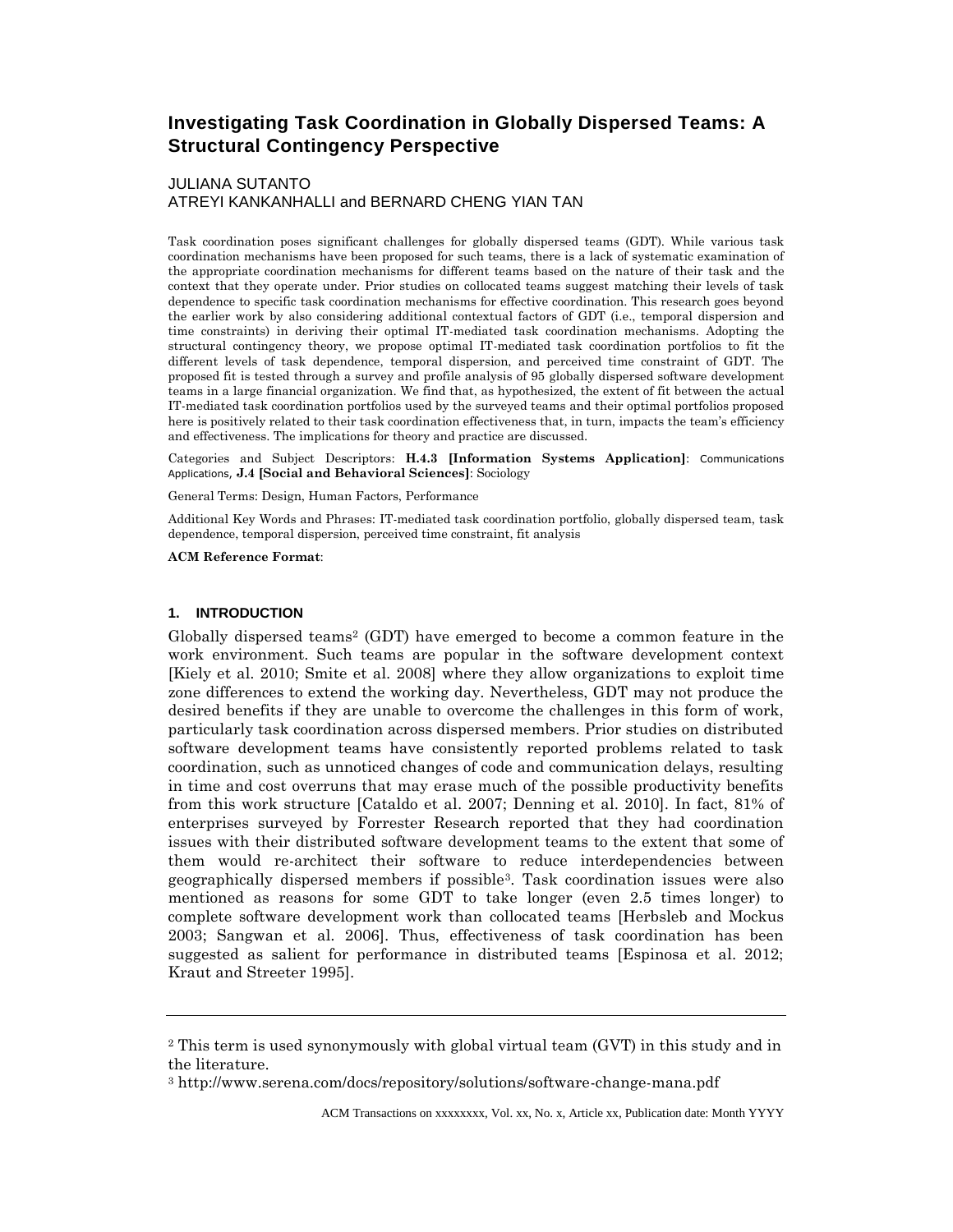# **Investigating Task Coordination in Globally Dispersed Teams: A Structural Contingency Perspective**

# JULIANA SUTANTO

ATREYI KANKANHALLI and BERNARD CHENG YIAN TAN

Task coordination poses significant challenges for globally dispersed teams (GDT). While various task coordination mechanisms have been proposed for such teams, there is a lack of systematic examination of the appropriate coordination mechanisms for different teams based on the nature of their task and the context that they operate under. Prior studies on collocated teams suggest matching their levels of task dependence to specific task coordination mechanisms for effective coordination. This research goes beyond the earlier work by also considering additional contextual factors of GDT (i.e., temporal dispersion and time constraints) in deriving their optimal IT-mediated task coordination mechanisms. Adopting the structural contingency theory, we propose optimal IT-mediated task coordination portfolios to fit the different levels of task dependence, temporal dispersion, and perceived time constraint of GDT. The proposed fit is tested through a survey and profile analysis of 95 globally dispersed software development teams in a large financial organization. We find that, as hypothesized, the extent of fit between the actual IT-mediated task coordination portfolios used by the surveyed teams and their optimal portfolios proposed here is positively related to their task coordination effectiveness that, in turn, impacts the team's efficiency and effectiveness. The implications for theory and practice are discussed.

Categories and Subject Descriptors: **H.4.3 [Information Systems Application]**: Communications Applications, **J.4 [Social and Behavioral Sciences]**: Sociology

General Terms: Design, Human Factors, Performance

Additional Key Words and Phrases: IT-mediated task coordination portfolio, globally dispersed team, task dependence, temporal dispersion, perceived time constraint, fit analysis

#### **ACM Reference Format**:

#### **1. INTRODUCTION**

Globally dispersed teams<sup>2</sup> (GDT) have emerged to become a common feature in the work environment. Such teams are popular in the software development context [Kiely et al. 2010; Smite et al. 2008] where they allow organizations to exploit time zone differences to extend the working day. Nevertheless, GDT may not produce the desired benefits if they are unable to overcome the challenges in this form of work, particularly task coordination across dispersed members. Prior studies on distributed software development teams have consistently reported problems related to task coordination, such as unnoticed changes of code and communication delays, resulting in time and cost overruns that may erase much of the possible productivity benefits from this work structure [Cataldo et al. 2007; Denning et al. 2010]. In fact, 81% of enterprises surveyed by Forrester Research reported that they had coordination issues with their distributed software development teams to the extent that some of them would re-architect their software to reduce interdependencies between geographically dispersed members if possible3. Task coordination issues were also mentioned as reasons for some GDT to take longer (even 2.5 times longer) to complete software development work than collocated teams [Herbsleb and Mockus 2003; Sangwan et al. 2006]. Thus, effectiveness of task coordination has been suggested as salient for performance in distributed teams [Espinosa et al. 2012; Kraut and Streeter 1995].

<sup>2</sup> This term is used synonymously with global virtual team (GVT) in this study and in the literature.

<sup>3</sup> http://www.serena.com/docs/repository/solutions/software-change-mana.pdf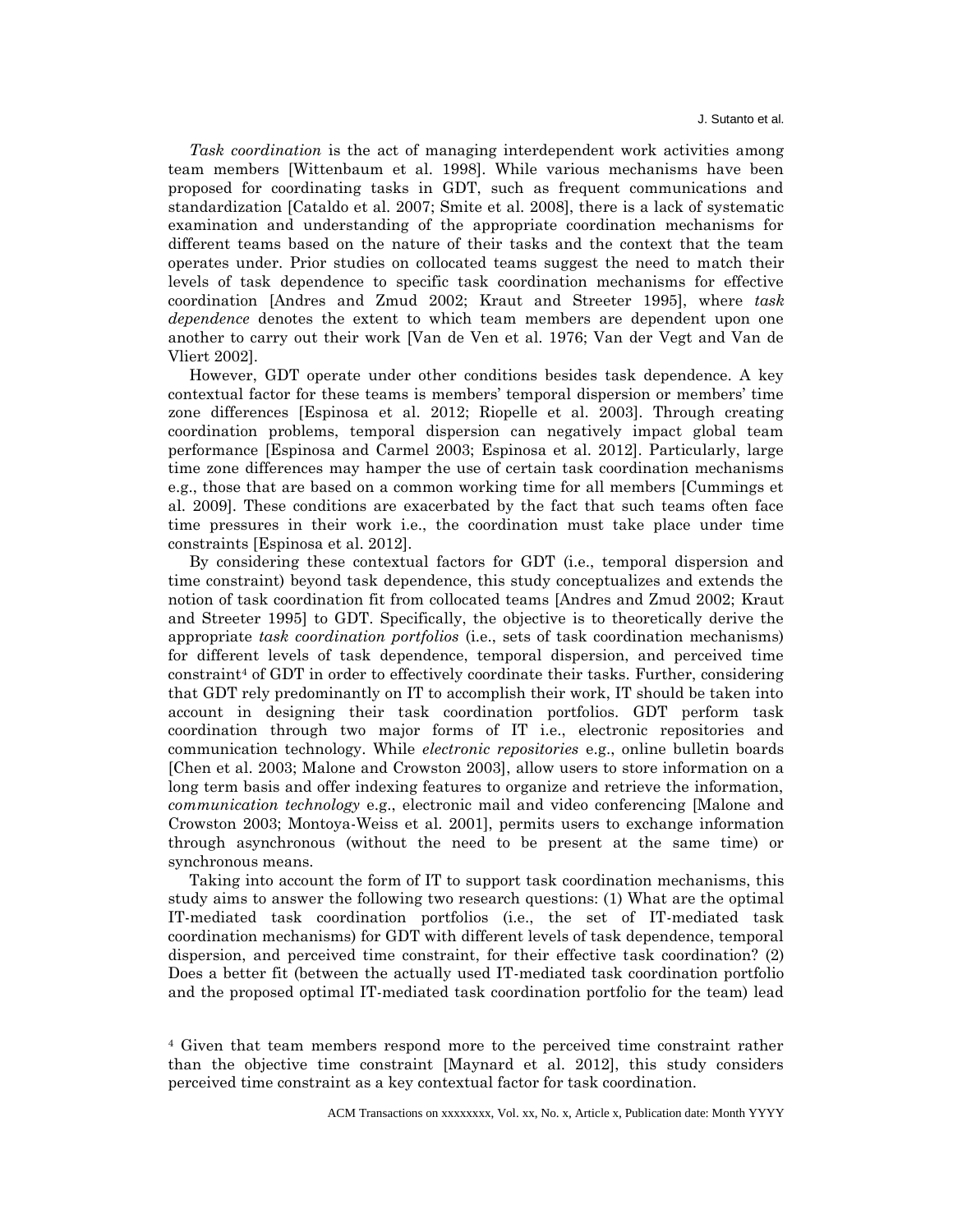*Task coordination* is the act of managing interdependent work activities among team members [Wittenbaum et al. 1998]. While various mechanisms have been proposed for coordinating tasks in GDT, such as frequent communications and standardization [Cataldo et al. 2007; Smite et al. 2008], there is a lack of systematic examination and understanding of the appropriate coordination mechanisms for different teams based on the nature of their tasks and the context that the team operates under. Prior studies on collocated teams suggest the need to match their levels of task dependence to specific task coordination mechanisms for effective coordination [Andres and Zmud 2002; Kraut and Streeter 1995], where *task dependence* denotes the extent to which team members are dependent upon one another to carry out their work [Van de Ven et al. 1976; Van der Vegt and Van de Vliert 2002].

However, GDT operate under other conditions besides task dependence. A key contextual factor for these teams is members' temporal dispersion or members' time zone differences [Espinosa et al. 2012; Riopelle et al. 2003]. Through creating coordination problems, temporal dispersion can negatively impact global team performance [Espinosa and Carmel 2003; Espinosa et al. 2012]. Particularly, large time zone differences may hamper the use of certain task coordination mechanisms e.g., those that are based on a common working time for all members [Cummings et al. 2009]. These conditions are exacerbated by the fact that such teams often face time pressures in their work i.e., the coordination must take place under time constraints [Espinosa et al. 2012].

By considering these contextual factors for GDT (i.e., temporal dispersion and time constraint) beyond task dependence, this study conceptualizes and extends the notion of task coordination fit from collocated teams [Andres and Zmud 2002; Kraut and Streeter 1995] to GDT. Specifically, the objective is to theoretically derive the appropriate *task coordination portfolios* (i.e., sets of task coordination mechanisms) for different levels of task dependence, temporal dispersion, and perceived time constraint<sup>4</sup> of GDT in order to effectively coordinate their tasks. Further, considering that GDT rely predominantly on IT to accomplish their work, IT should be taken into account in designing their task coordination portfolios. GDT perform task coordination through two major forms of IT i.e., electronic repositories and communication technology. While *electronic repositories* e.g., online bulletin boards [Chen et al. 2003; Malone and Crowston 2003], allow users to store information on a long term basis and offer indexing features to organize and retrieve the information, *communication technology* e.g., electronic mail and video conferencing [Malone and Crowston 2003; Montoya-Weiss et al. 2001], permits users to exchange information through asynchronous (without the need to be present at the same time) or synchronous means.

Taking into account the form of IT to support task coordination mechanisms, this study aims to answer the following two research questions: (1) What are the optimal IT-mediated task coordination portfolios (i.e., the set of IT-mediated task coordination mechanisms) for GDT with different levels of task dependence, temporal dispersion, and perceived time constraint, for their effective task coordination? (2) Does a better fit (between the actually used IT-mediated task coordination portfolio and the proposed optimal IT-mediated task coordination portfolio for the team) lead

<sup>4</sup> Given that team members respond more to the perceived time constraint rather than the objective time constraint [Maynard et al. 2012], this study considers perceived time constraint as a key contextual factor for task coordination.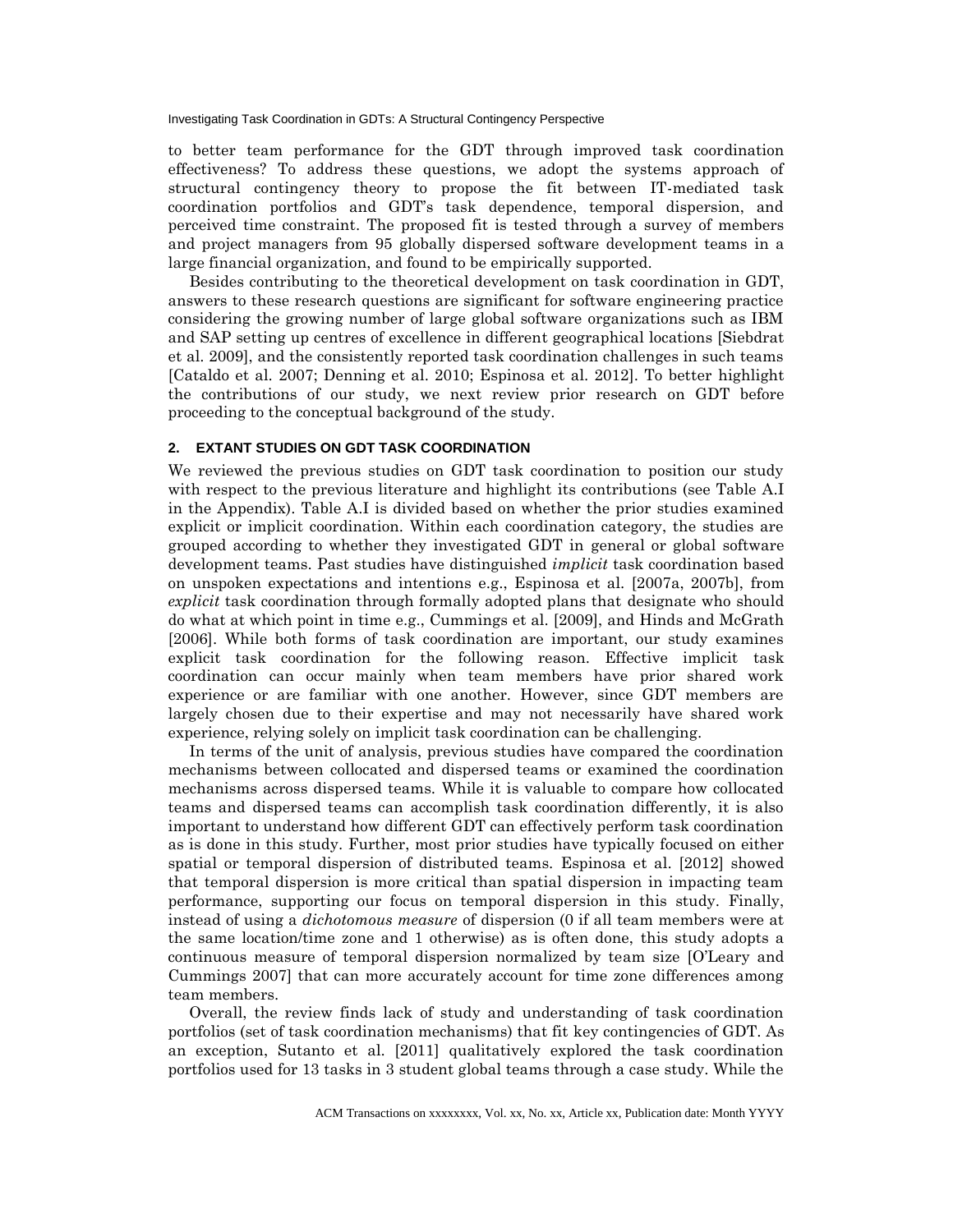to better team performance for the GDT through improved task coordination effectiveness? To address these questions, we adopt the systems approach of structural contingency theory to propose the fit between IT-mediated task coordination portfolios and GDT's task dependence, temporal dispersion, and perceived time constraint. The proposed fit is tested through a survey of members and project managers from 95 globally dispersed software development teams in a large financial organization, and found to be empirically supported.

Besides contributing to the theoretical development on task coordination in GDT, answers to these research questions are significant for software engineering practice considering the growing number of large global software organizations such as IBM and SAP setting up centres of excellence in different geographical locations [Siebdrat et al. 2009], and the consistently reported task coordination challenges in such teams [Cataldo et al. 2007; Denning et al. 2010; Espinosa et al. 2012]. To better highlight the contributions of our study, we next review prior research on GDT before proceeding to the conceptual background of the study.

### **2. EXTANT STUDIES ON GDT TASK COORDINATION**

We reviewed the previous studies on GDT task coordination to position our study with respect to the previous literature and highlight its contributions (see Table A.I in the Appendix). Table A.I is divided based on whether the prior studies examined explicit or implicit coordination. Within each coordination category, the studies are grouped according to whether they investigated GDT in general or global software development teams. Past studies have distinguished *implicit* task coordination based on unspoken expectations and intentions e.g., Espinosa et al. [2007a, 2007b], from *explicit* task coordination through formally adopted plans that designate who should do what at which point in time e.g., Cummings et al. [2009], and Hinds and McGrath [2006]. While both forms of task coordination are important, our study examines explicit task coordination for the following reason. Effective implicit task coordination can occur mainly when team members have prior shared work experience or are familiar with one another. However, since GDT members are largely chosen due to their expertise and may not necessarily have shared work experience, relying solely on implicit task coordination can be challenging.

In terms of the unit of analysis, previous studies have compared the coordination mechanisms between collocated and dispersed teams or examined the coordination mechanisms across dispersed teams. While it is valuable to compare how collocated teams and dispersed teams can accomplish task coordination differently, it is also important to understand how different GDT can effectively perform task coordination as is done in this study. Further, most prior studies have typically focused on either spatial or temporal dispersion of distributed teams. Espinosa et al. [2012] showed that temporal dispersion is more critical than spatial dispersion in impacting team performance, supporting our focus on temporal dispersion in this study. Finally, instead of using a *dichotomous measure* of dispersion (0 if all team members were at the same location/time zone and 1 otherwise) as is often done, this study adopts a continuous measure of temporal dispersion normalized by team size [O'Leary and Cummings 2007] that can more accurately account for time zone differences among team members.

Overall, the review finds lack of study and understanding of task coordination portfolios (set of task coordination mechanisms) that fit key contingencies of GDT. As an exception, Sutanto et al. [2011] qualitatively explored the task coordination portfolios used for 13 tasks in 3 student global teams through a case study. While the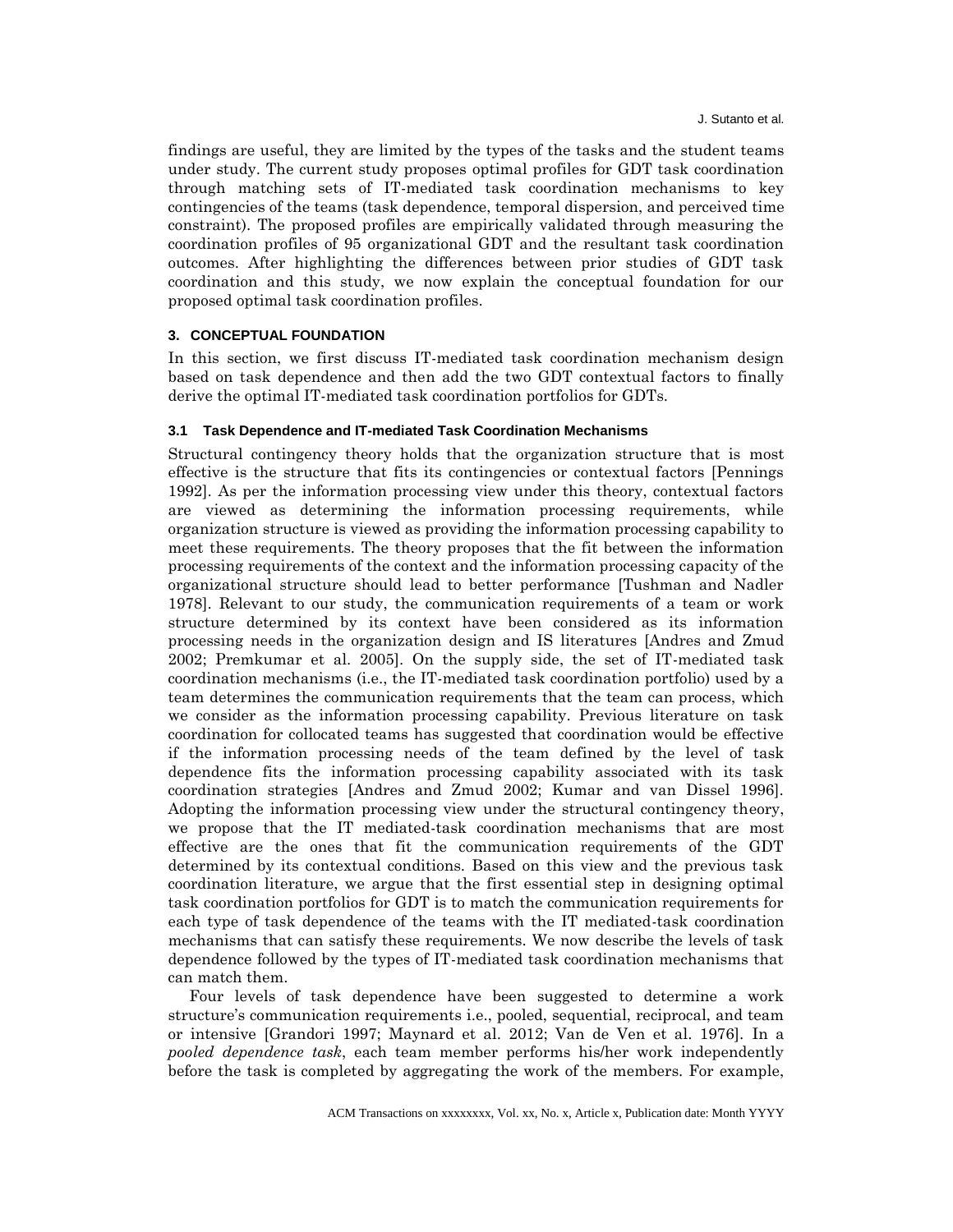findings are useful, they are limited by the types of the tasks and the student teams under study. The current study proposes optimal profiles for GDT task coordination through matching sets of IT-mediated task coordination mechanisms to key contingencies of the teams (task dependence, temporal dispersion, and perceived time constraint). The proposed profiles are empirically validated through measuring the coordination profiles of 95 organizational GDT and the resultant task coordination outcomes. After highlighting the differences between prior studies of GDT task coordination and this study, we now explain the conceptual foundation for our proposed optimal task coordination profiles.

### **3. CONCEPTUAL FOUNDATION**

In this section, we first discuss IT-mediated task coordination mechanism design based on task dependence and then add the two GDT contextual factors to finally derive the optimal IT-mediated task coordination portfolios for GDTs.

#### **3.1 Task Dependence and IT-mediated Task Coordination Mechanisms**

Structural contingency theory holds that the organization structure that is most effective is the structure that fits its contingencies or contextual factors [Pennings 1992]. As per the information processing view under this theory, contextual factors are viewed as determining the information processing requirements, while organization structure is viewed as providing the information processing capability to meet these requirements. The theory proposes that the fit between the information processing requirements of the context and the information processing capacity of the organizational structure should lead to better performance [Tushman and Nadler 1978]. Relevant to our study, the communication requirements of a team or work structure determined by its context have been considered as its information processing needs in the organization design and IS literatures [Andres and Zmud 2002; Premkumar et al. 2005]. On the supply side, the set of IT-mediated task coordination mechanisms (i.e., the IT-mediated task coordination portfolio) used by a team determines the communication requirements that the team can process, which we consider as the information processing capability. Previous literature on task coordination for collocated teams has suggested that coordination would be effective if the information processing needs of the team defined by the level of task dependence fits the information processing capability associated with its task coordination strategies [Andres and Zmud 2002; Kumar and van Dissel 1996]. Adopting the information processing view under the structural contingency theory, we propose that the IT mediated-task coordination mechanisms that are most effective are the ones that fit the communication requirements of the GDT determined by its contextual conditions. Based on this view and the previous task coordination literature, we argue that the first essential step in designing optimal task coordination portfolios for GDT is to match the communication requirements for each type of task dependence of the teams with the IT mediated-task coordination mechanisms that can satisfy these requirements. We now describe the levels of task dependence followed by the types of IT-mediated task coordination mechanisms that can match them.

Four levels of task dependence have been suggested to determine a work structure's communication requirements i.e., pooled, sequential, reciprocal, and team or intensive [Grandori 1997; Maynard et al. 2012; Van de Ven et al. 1976]. In a *pooled dependence task*, each team member performs his/her work independently before the task is completed by aggregating the work of the members. For example,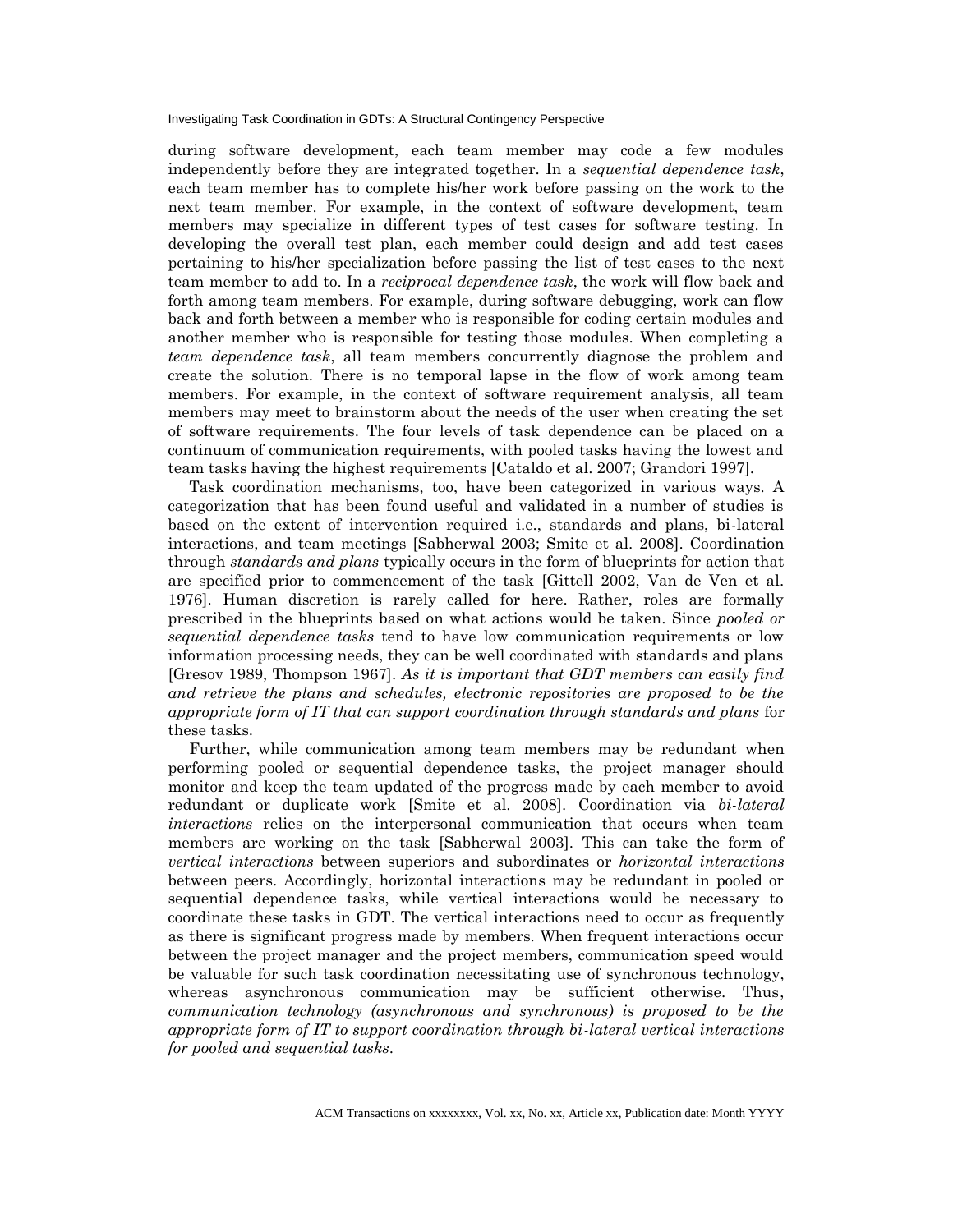during software development, each team member may code a few modules independently before they are integrated together. In a *sequential dependence task*, each team member has to complete his/her work before passing on the work to the next team member. For example, in the context of software development, team members may specialize in different types of test cases for software testing. In developing the overall test plan, each member could design and add test cases pertaining to his/her specialization before passing the list of test cases to the next team member to add to. In a *reciprocal dependence task*, the work will flow back and forth among team members. For example, during software debugging, work can flow back and forth between a member who is responsible for coding certain modules and another member who is responsible for testing those modules. When completing a *team dependence task*, all team members concurrently diagnose the problem and create the solution. There is no temporal lapse in the flow of work among team members. For example, in the context of software requirement analysis, all team members may meet to brainstorm about the needs of the user when creating the set of software requirements. The four levels of task dependence can be placed on a continuum of communication requirements, with pooled tasks having the lowest and team tasks having the highest requirements [Cataldo et al. 2007; Grandori 1997].

Task coordination mechanisms, too, have been categorized in various ways. A categorization that has been found useful and validated in a number of studies is based on the extent of intervention required i.e., standards and plans, bi-lateral interactions, and team meetings [Sabherwal 2003; Smite et al. 2008]. Coordination through *standards and plans* typically occurs in the form of blueprints for action that are specified prior to commencement of the task [Gittell 2002, Van de Ven et al. 1976]. Human discretion is rarely called for here. Rather, roles are formally prescribed in the blueprints based on what actions would be taken. Since *pooled or sequential dependence tasks* tend to have low communication requirements or low information processing needs, they can be well coordinated with standards and plans [Gresov 1989, Thompson 1967]. *As it is important that GDT members can easily find and retrieve the plans and schedules, electronic repositories are proposed to be the appropriate form of IT that can support coordination through standards and plans* for these tasks.

Further, while communication among team members may be redundant when performing pooled or sequential dependence tasks, the project manager should monitor and keep the team updated of the progress made by each member to avoid redundant or duplicate work [Smite et al. 2008]. Coordination via *bi-lateral interactions* relies on the interpersonal communication that occurs when team members are working on the task [Sabherwal 2003]. This can take the form of *vertical interactions* between superiors and subordinates or *horizontal interactions* between peers. Accordingly, horizontal interactions may be redundant in pooled or sequential dependence tasks, while vertical interactions would be necessary to coordinate these tasks in GDT. The vertical interactions need to occur as frequently as there is significant progress made by members. When frequent interactions occur between the project manager and the project members, communication speed would be valuable for such task coordination necessitating use of synchronous technology, whereas asynchronous communication may be sufficient otherwise. Thus, *communication technology (asynchronous and synchronous) is proposed to be the appropriate form of IT to support coordination through bi-lateral vertical interactions for pooled and sequential tasks*.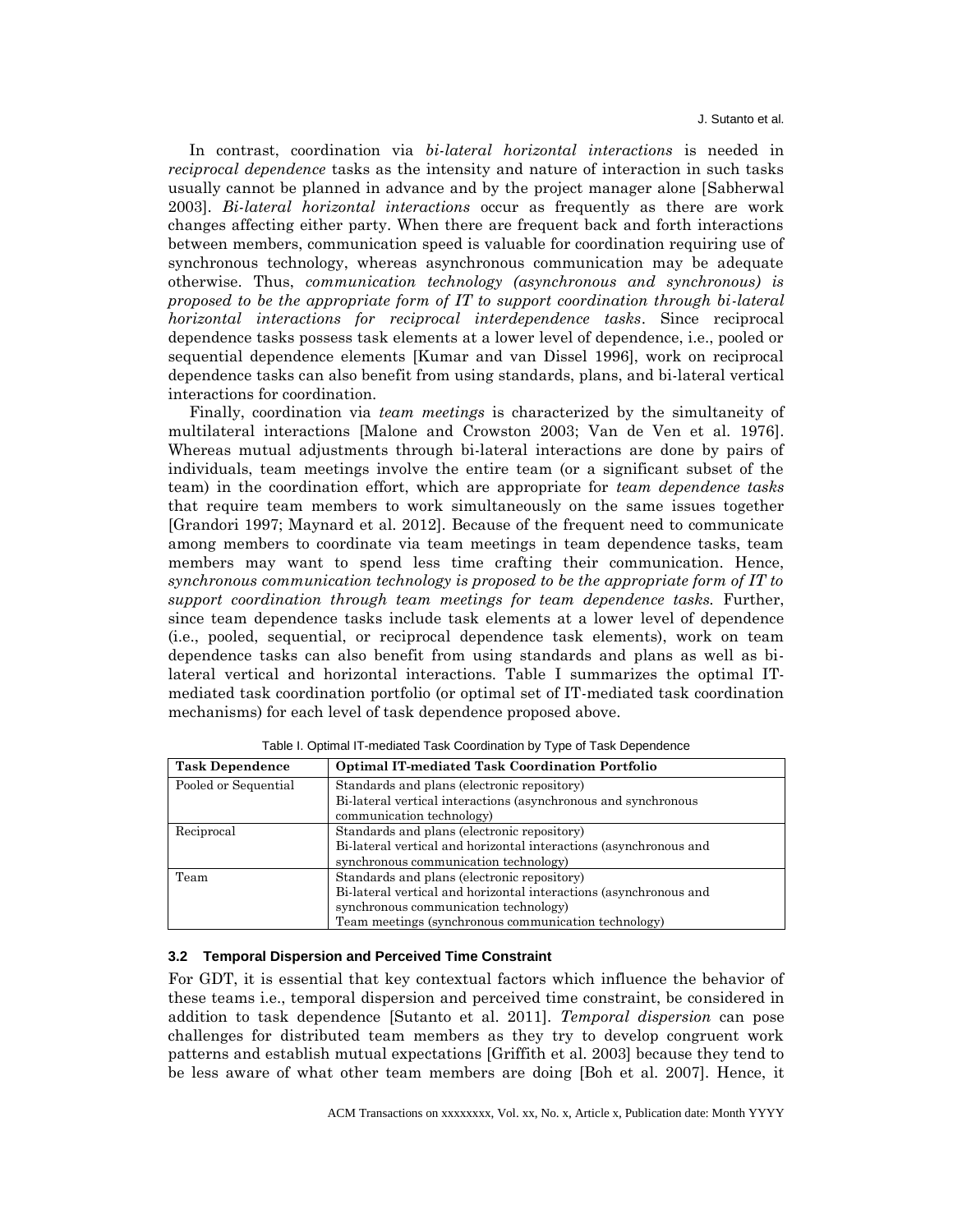In contrast, coordination via *bi-lateral horizontal interactions* is needed in *reciprocal dependence* tasks as the intensity and nature of interaction in such tasks usually cannot be planned in advance and by the project manager alone [Sabherwal 2003]. *Bi-lateral horizontal interactions* occur as frequently as there are work changes affecting either party. When there are frequent back and forth interactions between members, communication speed is valuable for coordination requiring use of synchronous technology, whereas asynchronous communication may be adequate otherwise. Thus, *communication technology (asynchronous and synchronous) is proposed to be the appropriate form of IT to support coordination through bi-lateral horizontal interactions for reciprocal interdependence tasks*. Since reciprocal dependence tasks possess task elements at a lower level of dependence, i.e., pooled or sequential dependence elements [Kumar and van Dissel 1996], work on reciprocal dependence tasks can also benefit from using standards, plans, and bi-lateral vertical interactions for coordination.

Finally, coordination via *team meetings* is characterized by the simultaneity of multilateral interactions [Malone and Crowston 2003; Van de Ven et al. 1976]. Whereas mutual adjustments through bi-lateral interactions are done by pairs of individuals, team meetings involve the entire team (or a significant subset of the team) in the coordination effort, which are appropriate for *team dependence tasks* that require team members to work simultaneously on the same issues together [Grandori 1997; Maynard et al. 2012]. Because of the frequent need to communicate among members to coordinate via team meetings in team dependence tasks, team members may want to spend less time crafting their communication. Hence, *synchronous communication technology is proposed to be the appropriate form of IT to support coordination through team meetings for team dependence tasks.* Further, since team dependence tasks include task elements at a lower level of dependence (i.e., pooled, sequential, or reciprocal dependence task elements), work on team dependence tasks can also benefit from using standards and plans as well as bilateral vertical and horizontal interactions. Table I summarizes the optimal ITmediated task coordination portfolio (or optimal set of IT-mediated task coordination mechanisms) for each level of task dependence proposed above.

| <b>Task Dependence</b> | <b>Optimal IT-mediated Task Coordination Portfolio</b>            |  |  |  |
|------------------------|-------------------------------------------------------------------|--|--|--|
| Pooled or Sequential   | Standards and plans (electronic repository)                       |  |  |  |
|                        | Bi-lateral vertical interactions (asynchronous and synchronous    |  |  |  |
|                        | communication technology)                                         |  |  |  |
| Reciprocal             | Standards and plans (electronic repository)                       |  |  |  |
|                        | Bi-lateral vertical and horizontal interactions (asynchronous and |  |  |  |
|                        | synchronous communication technology)                             |  |  |  |
| Team                   | Standards and plans (electronic repository)                       |  |  |  |
|                        | Bi-lateral vertical and horizontal interactions (asynchronous and |  |  |  |
|                        | synchronous communication technology)                             |  |  |  |
|                        | Team meetings (synchronous communication technology)              |  |  |  |

Table I. Optimal IT-mediated Task Coordination by Type of Task Dependence

#### **3.2 Temporal Dispersion and Perceived Time Constraint**

For GDT, it is essential that key contextual factors which influence the behavior of these teams i.e., temporal dispersion and perceived time constraint, be considered in addition to task dependence [Sutanto et al. 2011]. *Temporal dispersion* can pose challenges for distributed team members as they try to develop congruent work patterns and establish mutual expectations [Griffith et al. 2003] because they tend to be less aware of what other team members are doing [Boh et al. 2007]. Hence, it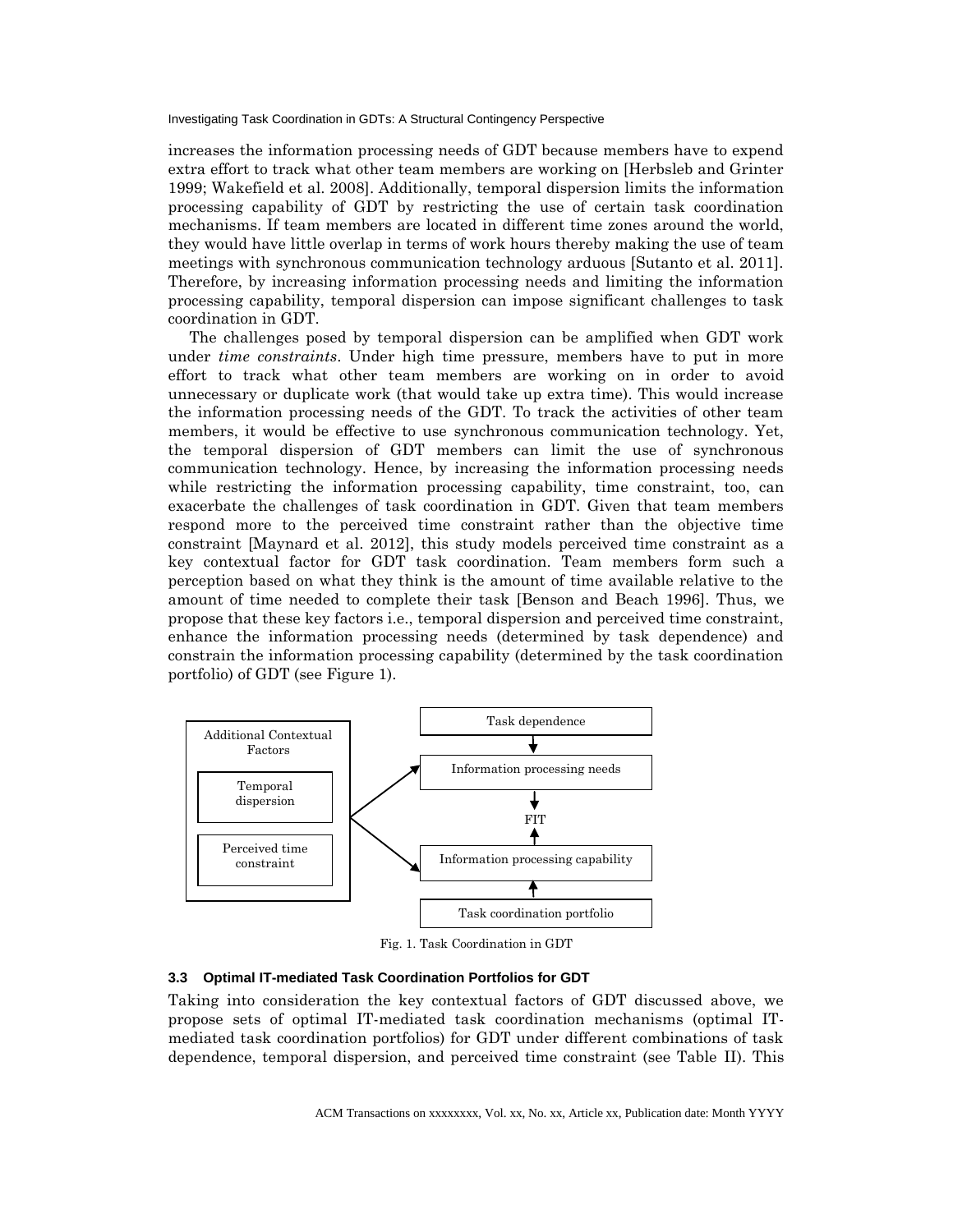increases the information processing needs of GDT because members have to expend extra effort to track what other team members are working on [Herbsleb and Grinter 1999; Wakefield et al. 2008]. Additionally, temporal dispersion limits the information processing capability of GDT by restricting the use of certain task coordination mechanisms. If team members are located in different time zones around the world, they would have little overlap in terms of work hours thereby making the use of team meetings with synchronous communication technology arduous [Sutanto et al. 2011]. Therefore, by increasing information processing needs and limiting the information processing capability, temporal dispersion can impose significant challenges to task coordination in GDT.

The challenges posed by temporal dispersion can be amplified when GDT work under *time constraints*. Under high time pressure, members have to put in more effort to track what other team members are working on in order to avoid unnecessary or duplicate work (that would take up extra time). This would increase the information processing needs of the GDT. To track the activities of other team members, it would be effective to use synchronous communication technology. Yet, the temporal dispersion of GDT members can limit the use of synchronous communication technology. Hence, by increasing the information processing needs while restricting the information processing capability, time constraint, too, can exacerbate the challenges of task coordination in GDT. Given that team members respond more to the perceived time constraint rather than the objective time constraint [Maynard et al. 2012], this study models perceived time constraint as a key contextual factor for GDT task coordination. Team members form such a perception based on what they think is the amount of time available relative to the amount of time needed to complete their task [Benson and Beach 1996]. Thus, we propose that these key factors i.e., temporal dispersion and perceived time constraint, enhance the information processing needs (determined by task dependence) and constrain the information processing capability (determined by the task coordination portfolio) of GDT (see Figure 1).



Fig. 1. Task Coordination in GDT

#### **3.3 Optimal IT-mediated Task Coordination Portfolios for GDT**

Taking into consideration the key contextual factors of GDT discussed above, we propose sets of optimal IT-mediated task coordination mechanisms (optimal ITmediated task coordination portfolios) for GDT under different combinations of task dependence, temporal dispersion, and perceived time constraint (see Table II). This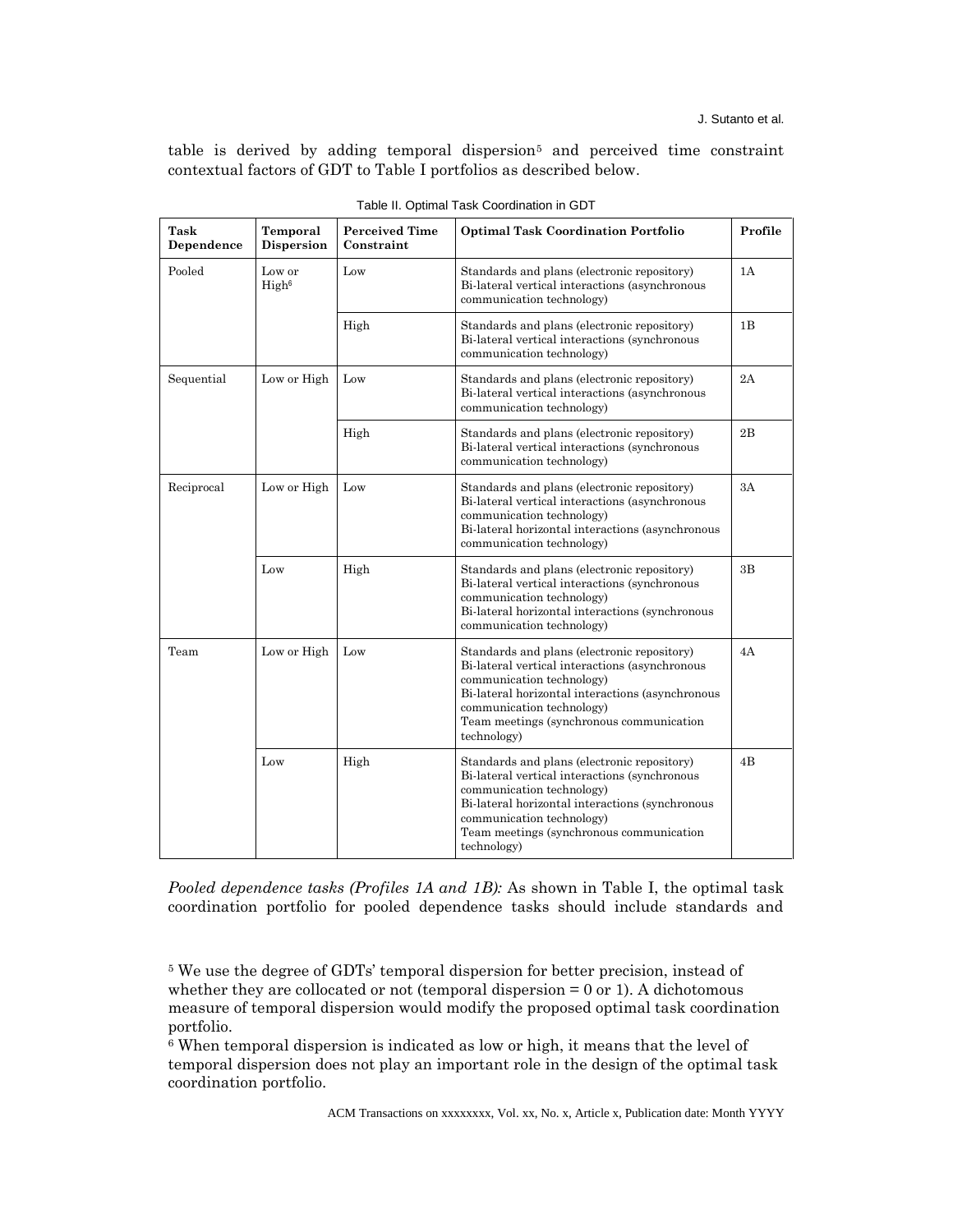table is derived by adding temporal dispersion<sup>5</sup> and perceived time constraint contextual factors of GDT to Table I portfolios as described below.

| Task<br>Dependence | Temporal<br><b>Dispersion</b> | <b>Perceived Time</b><br>Constraint | <b>Optimal Task Coordination Portfolio</b>                                                                                                                                                                                                                             | Profile |
|--------------------|-------------------------------|-------------------------------------|------------------------------------------------------------------------------------------------------------------------------------------------------------------------------------------------------------------------------------------------------------------------|---------|
| Pooled             | Low or<br>High <sup>6</sup>   | Low                                 | Standards and plans (electronic repository)<br>Bi-lateral vertical interactions (asynchronous<br>communication technology)                                                                                                                                             | 1A      |
|                    |                               | High                                | Standards and plans (electronic repository)<br>Bi-lateral vertical interactions (synchronous<br>communication technology)                                                                                                                                              | 1B      |
| Sequential         | Low or High                   | Low                                 | Standards and plans (electronic repository)<br>Bi-lateral vertical interactions (asynchronous<br>communication technology)                                                                                                                                             | 2A      |
|                    |                               | High                                | Standards and plans (electronic repository)<br>Bi-lateral vertical interactions (synchronous<br>communication technology)                                                                                                                                              | 2B      |
| Reciprocal         | Low or High                   | Low                                 | Standards and plans (electronic repository)<br>Bi-lateral vertical interactions (asynchronous<br>communication technology)<br>Bi-lateral horizontal interactions (asynchronous<br>communication technology)                                                            | 3A      |
|                    | Low                           | High                                | Standards and plans (electronic repository)<br>Bi-lateral vertical interactions (synchronous<br>communication technology)<br>Bi-lateral horizontal interactions (synchronous<br>communication technology)                                                              | 3B      |
| Team               | Low or High                   | Low                                 | Standards and plans (electronic repository)<br>Bi-lateral vertical interactions (asynchronous<br>communication technology)<br>Bi-lateral horizontal interactions (asynchronous<br>communication technology)<br>Team meetings (synchronous communication<br>technology) | 4A      |
|                    | Low                           | High                                | Standards and plans (electronic repository)<br>Bi-lateral vertical interactions (synchronous<br>communication technology)<br>Bi-lateral horizontal interactions (synchronous<br>communication technology)<br>Team meetings (synchronous communication<br>technology)   | 4B      |

Table II. Optimal Task Coordination in GDT

*Pooled dependence tasks (Profiles 1A and 1B):* As shown in Table I, the optimal task coordination portfolio for pooled dependence tasks should include standards and

<sup>5</sup> We use the degree of GDTs' temporal dispersion for better precision, instead of whether they are collocated or not (temporal dispersion  $= 0$  or 1). A dichotomous measure of temporal dispersion would modify the proposed optimal task coordination portfolio.

<sup>6</sup> When temporal dispersion is indicated as low or high, it means that the level of temporal dispersion does not play an important role in the design of the optimal task coordination portfolio.

ACM Transactions on xxxxxxxx, Vol. xx, No. x, Article x, Publication date: Month YYYY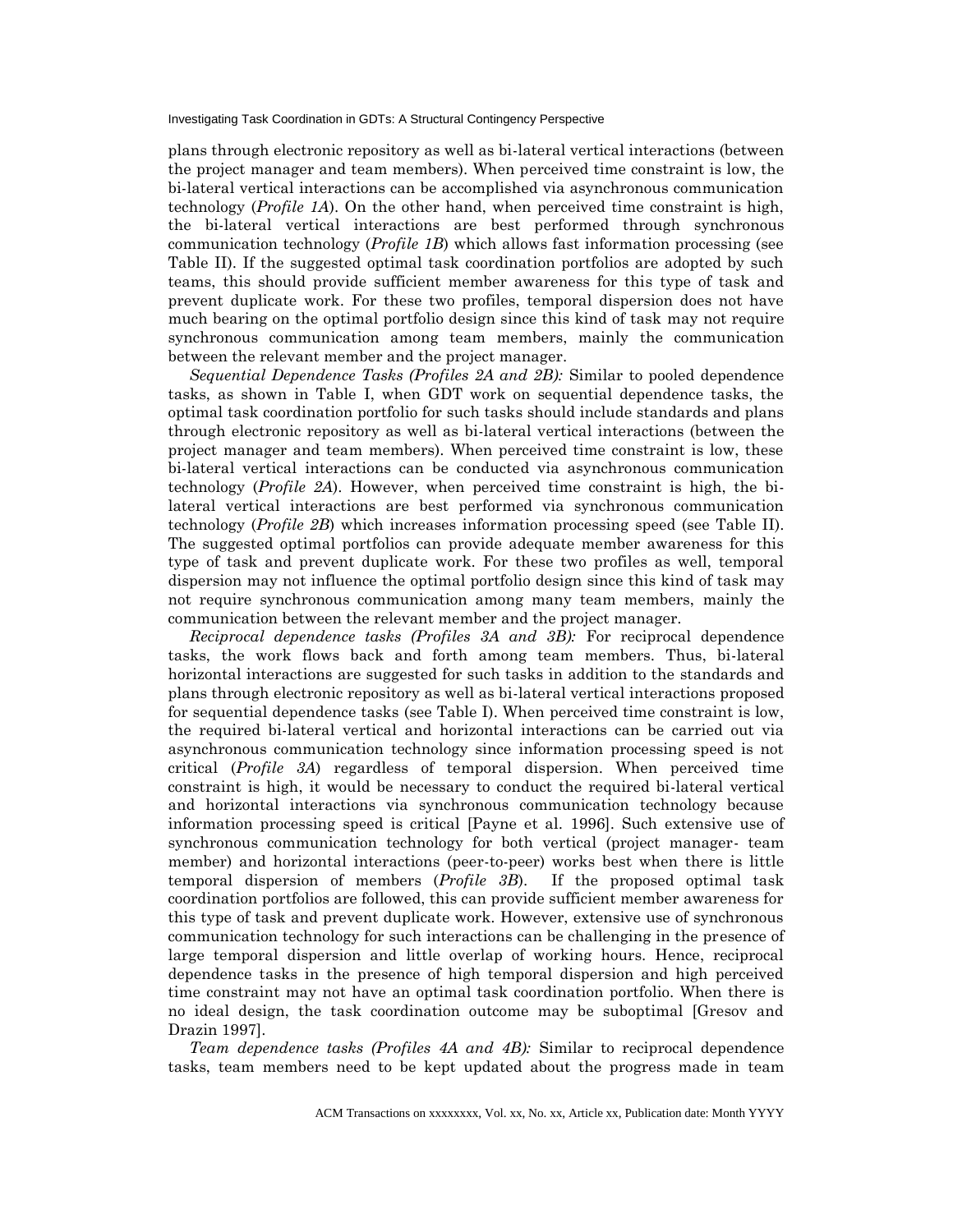plans through electronic repository as well as bi-lateral vertical interactions (between the project manager and team members). When perceived time constraint is low, the bi-lateral vertical interactions can be accomplished via asynchronous communication technology (*Profile 1A*). On the other hand, when perceived time constraint is high, the bi-lateral vertical interactions are best performed through synchronous communication technology (*Profile 1B*) which allows fast information processing (see Table II). If the suggested optimal task coordination portfolios are adopted by such teams, this should provide sufficient member awareness for this type of task and prevent duplicate work. For these two profiles, temporal dispersion does not have much bearing on the optimal portfolio design since this kind of task may not require synchronous communication among team members, mainly the communication between the relevant member and the project manager.

*Sequential Dependence Tasks (Profiles 2A and 2B):* Similar to pooled dependence tasks, as shown in Table I, when GDT work on sequential dependence tasks, the optimal task coordination portfolio for such tasks should include standards and plans through electronic repository as well as bi-lateral vertical interactions (between the project manager and team members). When perceived time constraint is low, these bi-lateral vertical interactions can be conducted via asynchronous communication technology (*Profile 2A*). However, when perceived time constraint is high, the bilateral vertical interactions are best performed via synchronous communication technology (*Profile 2B*) which increases information processing speed (see Table II). The suggested optimal portfolios can provide adequate member awareness for this type of task and prevent duplicate work. For these two profiles as well, temporal dispersion may not influence the optimal portfolio design since this kind of task may not require synchronous communication among many team members, mainly the communication between the relevant member and the project manager.

*Reciprocal dependence tasks (Profiles 3A and 3B):* For reciprocal dependence tasks, the work flows back and forth among team members. Thus, bi-lateral horizontal interactions are suggested for such tasks in addition to the standards and plans through electronic repository as well as bi-lateral vertical interactions proposed for sequential dependence tasks (see Table I). When perceived time constraint is low, the required bi-lateral vertical and horizontal interactions can be carried out via asynchronous communication technology since information processing speed is not critical (*Profile 3A*) regardless of temporal dispersion. When perceived time constraint is high, it would be necessary to conduct the required bi-lateral vertical and horizontal interactions via synchronous communication technology because information processing speed is critical [Payne et al. 1996]. Such extensive use of synchronous communication technology for both vertical (project manager- team member) and horizontal interactions (peer-to-peer) works best when there is little temporal dispersion of members (*Profile 3B*). If the proposed optimal task coordination portfolios are followed, this can provide sufficient member awareness for this type of task and prevent duplicate work. However, extensive use of synchronous communication technology for such interactions can be challenging in the presence of large temporal dispersion and little overlap of working hours. Hence, reciprocal dependence tasks in the presence of high temporal dispersion and high perceived time constraint may not have an optimal task coordination portfolio. When there is no ideal design, the task coordination outcome may be suboptimal [Gresov and Drazin 1997].

*Team dependence tasks (Profiles 4A and 4B):* Similar to reciprocal dependence tasks, team members need to be kept updated about the progress made in team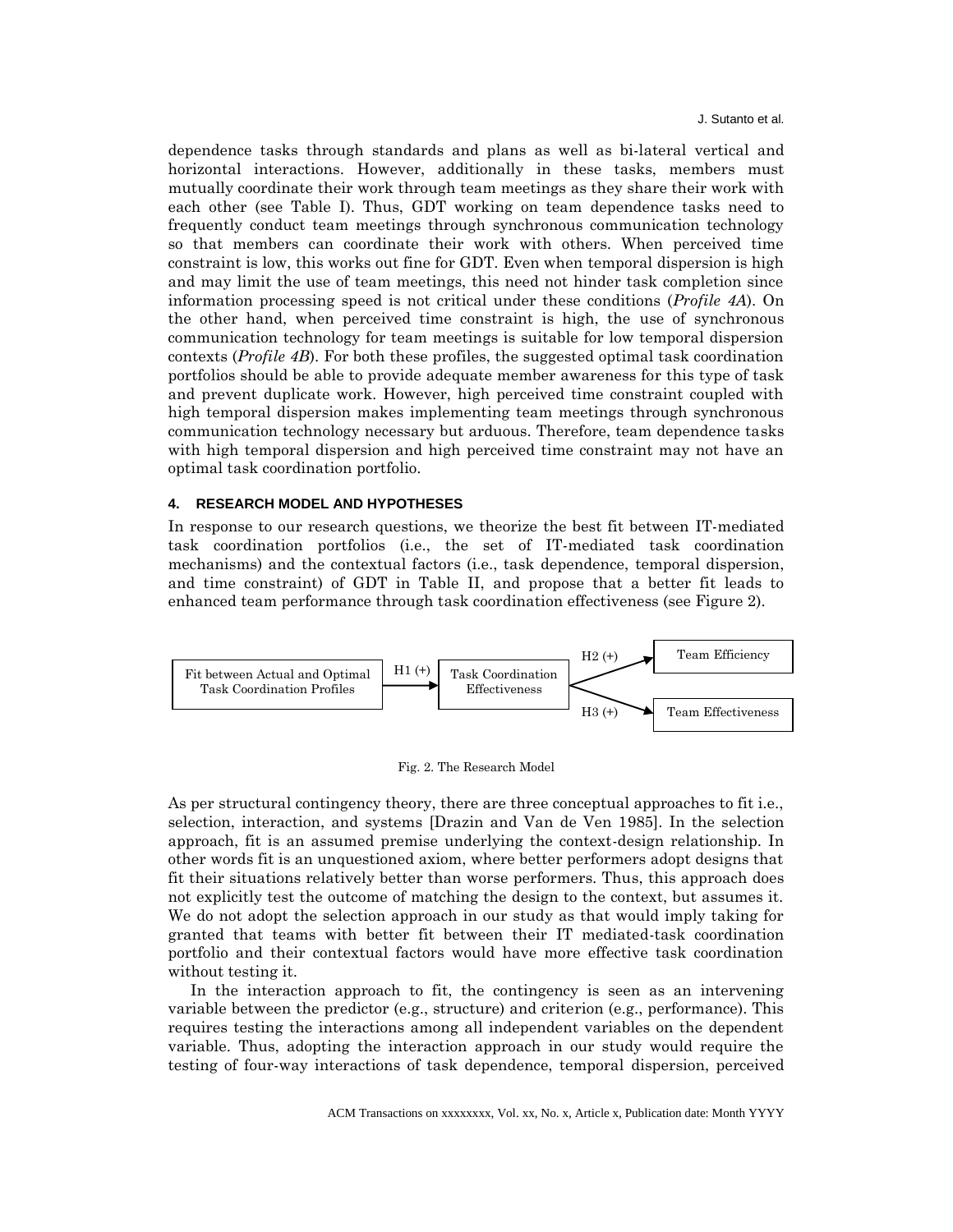dependence tasks through standards and plans as well as bi-lateral vertical and horizontal interactions. However, additionally in these tasks, members must mutually coordinate their work through team meetings as they share their work with each other (see Table I). Thus, GDT working on team dependence tasks need to frequently conduct team meetings through synchronous communication technology so that members can coordinate their work with others. When perceived time constraint is low, this works out fine for GDT. Even when temporal dispersion is high and may limit the use of team meetings, this need not hinder task completion since information processing speed is not critical under these conditions (*Profile 4A*). On the other hand, when perceived time constraint is high, the use of synchronous communication technology for team meetings is suitable for low temporal dispersion contexts (*Profile 4B*). For both these profiles, the suggested optimal task coordination portfolios should be able to provide adequate member awareness for this type of task and prevent duplicate work. However, high perceived time constraint coupled with high temporal dispersion makes implementing team meetings through synchronous communication technology necessary but arduous. Therefore, team dependence tasks with high temporal dispersion and high perceived time constraint may not have an optimal task coordination portfolio.

#### **4. RESEARCH MODEL AND HYPOTHESES**

In response to our research questions, we theorize the best fit between IT-mediated task coordination portfolios (i.e., the set of IT-mediated task coordination mechanisms) and the contextual factors (i.e., task dependence, temporal dispersion, and time constraint) of GDT in Table II, and propose that a better fit leads to enhanced team performance through task coordination effectiveness (see Figure 2).



Fig. 2. The Research Model

As per structural contingency theory, there are three conceptual approaches to fit i.e., selection, interaction, and systems [Drazin and Van de Ven 1985]. In the selection approach, fit is an assumed premise underlying the context-design relationship. In other words fit is an unquestioned axiom, where better performers adopt designs that fit their situations relatively better than worse performers. Thus, this approach does not explicitly test the outcome of matching the design to the context, but assumes it. We do not adopt the selection approach in our study as that would imply taking for granted that teams with better fit between their IT mediated-task coordination portfolio and their contextual factors would have more effective task coordination without testing it.

In the interaction approach to fit, the contingency is seen as an intervening variable between the predictor (e.g., structure) and criterion (e.g., performance). This requires testing the interactions among all independent variables on the dependent variable. Thus, adopting the interaction approach in our study would require the testing of four-way interactions of task dependence, temporal dispersion, perceived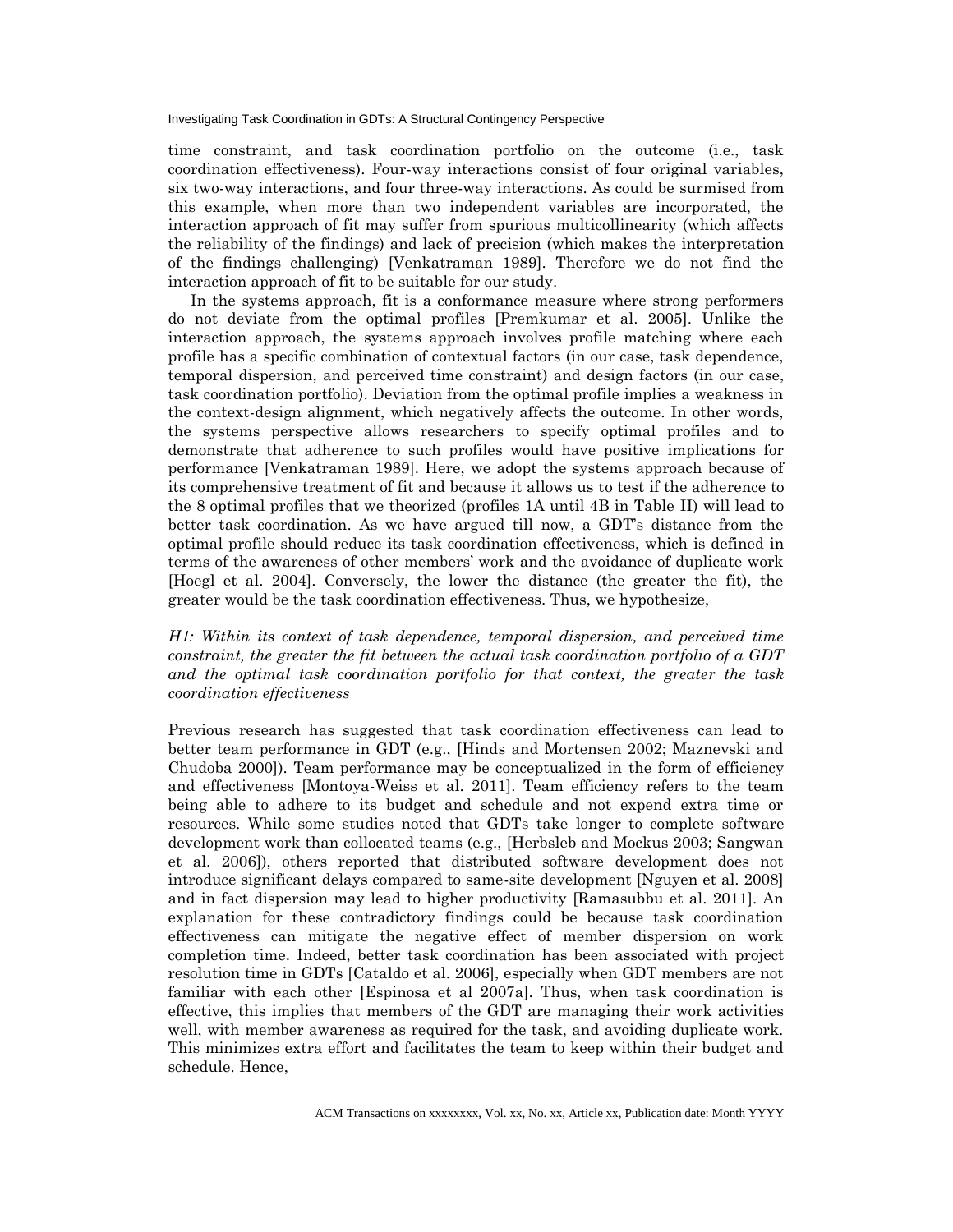time constraint, and task coordination portfolio on the outcome (i.e., task coordination effectiveness). Four-way interactions consist of four original variables, six two-way interactions, and four three-way interactions. As could be surmised from this example, when more than two independent variables are incorporated, the interaction approach of fit may suffer from spurious multicollinearity (which affects the reliability of the findings) and lack of precision (which makes the interpretation of the findings challenging) [Venkatraman 1989]. Therefore we do not find the interaction approach of fit to be suitable for our study.

In the systems approach, fit is a conformance measure where strong performers do not deviate from the optimal profiles [Premkumar et al. 2005]. Unlike the interaction approach, the systems approach involves profile matching where each profile has a specific combination of contextual factors (in our case, task dependence, temporal dispersion, and perceived time constraint) and design factors (in our case, task coordination portfolio). Deviation from the optimal profile implies a weakness in the context-design alignment, which negatively affects the outcome. In other words, the systems perspective allows researchers to specify optimal profiles and to demonstrate that adherence to such profiles would have positive implications for performance [Venkatraman 1989]. Here, we adopt the systems approach because of its comprehensive treatment of fit and because it allows us to test if the adherence to the 8 optimal profiles that we theorized (profiles 1A until 4B in Table II) will lead to better task coordination. As we have argued till now, a GDT's distance from the optimal profile should reduce its task coordination effectiveness, which is defined in terms of the awareness of other members' work and the avoidance of duplicate work [Hoegl et al. 2004]. Conversely, the lower the distance (the greater the fit), the greater would be the task coordination effectiveness. Thus, we hypothesize,

# *H1: Within its context of task dependence, temporal dispersion, and perceived time constraint, the greater the fit between the actual task coordination portfolio of a GDT and the optimal task coordination portfolio for that context, the greater the task coordination effectiveness*

Previous research has suggested that task coordination effectiveness can lead to better team performance in GDT (e.g., [Hinds and Mortensen 2002; Maznevski and Chudoba 2000]). Team performance may be conceptualized in the form of efficiency and effectiveness [Montoya-Weiss et al. 2011]. Team efficiency refers to the team being able to adhere to its budget and schedule and not expend extra time or resources. While some studies noted that GDTs take longer to complete software development work than collocated teams (e.g., [Herbsleb and Mockus 2003; Sangwan et al. 2006]), others reported that distributed software development does not introduce significant delays compared to same-site development [Nguyen et al. 2008] and in fact dispersion may lead to higher productivity [Ramasubbu et al. 2011]. An explanation for these contradictory findings could be because task coordination effectiveness can mitigate the negative effect of member dispersion on work completion time. Indeed, better task coordination has been associated with project resolution time in GDTs [Cataldo et al. 2006], especially when GDT members are not familiar with each other [Espinosa et al 2007a]. Thus, when task coordination is effective, this implies that members of the GDT are managing their work activities well, with member awareness as required for the task, and avoiding duplicate work. This minimizes extra effort and facilitates the team to keep within their budget and schedule. Hence,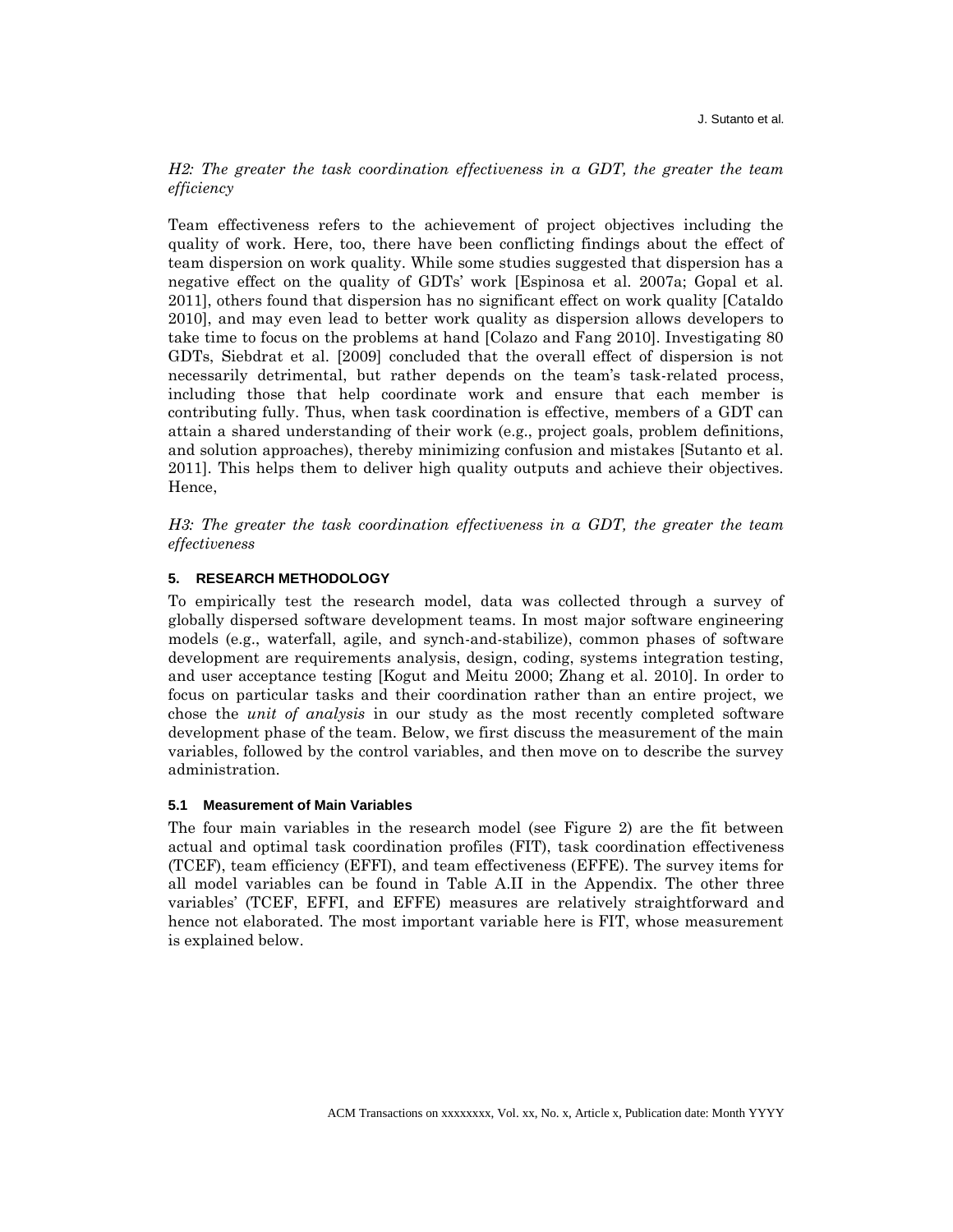## *H2: The greater the task coordination effectiveness in a GDT, the greater the team efficiency*

Team effectiveness refers to the achievement of project objectives including the quality of work. Here, too, there have been conflicting findings about the effect of team dispersion on work quality. While some studies suggested that dispersion has a negative effect on the quality of GDTs' work [Espinosa et al. 2007a; Gopal et al. 2011], others found that dispersion has no significant effect on work quality [Cataldo 2010], and may even lead to better work quality as dispersion allows developers to take time to focus on the problems at hand [Colazo and Fang 2010]. Investigating 80 GDTs, Siebdrat et al. [2009] concluded that the overall effect of dispersion is not necessarily detrimental, but rather depends on the team's task-related process, including those that help coordinate work and ensure that each member is contributing fully. Thus, when task coordination is effective, members of a GDT can attain a shared understanding of their work (e.g., project goals, problem definitions, and solution approaches), thereby minimizing confusion and mistakes [Sutanto et al. 2011]. This helps them to deliver high quality outputs and achieve their objectives. Hence,

*H3: The greater the task coordination effectiveness in a GDT, the greater the team effectiveness*

## **5. RESEARCH METHODOLOGY**

To empirically test the research model, data was collected through a survey of globally dispersed software development teams. In most major software engineering models (e.g., waterfall, agile, and synch-and-stabilize), common phases of software development are requirements analysis, design, coding, systems integration testing, and user acceptance testing [Kogut and Meitu 2000; Zhang et al. 2010]. In order to focus on particular tasks and their coordination rather than an entire project, we chose the *unit of analysis* in our study as the most recently completed software development phase of the team. Below, we first discuss the measurement of the main variables, followed by the control variables, and then move on to describe the survey administration.

#### **5.1 Measurement of Main Variables**

The four main variables in the research model (see Figure 2) are the fit between actual and optimal task coordination profiles (FIT), task coordination effectiveness (TCEF), team efficiency (EFFI), and team effectiveness (EFFE). The survey items for all model variables can be found in Table A.II in the Appendix. The other three variables' (TCEF, EFFI, and EFFE) measures are relatively straightforward and hence not elaborated. The most important variable here is FIT, whose measurement is explained below.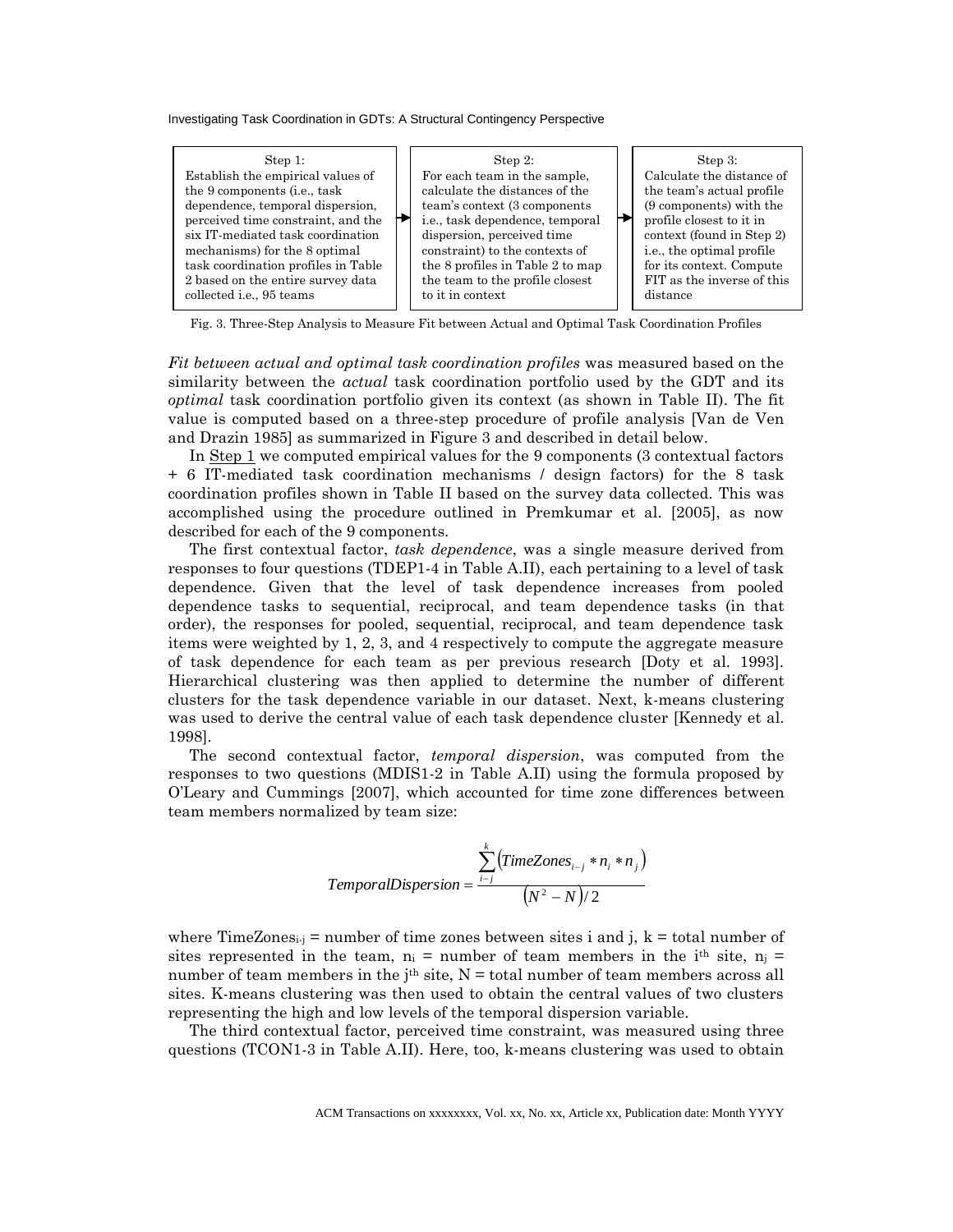

Fig. 3. Three-Step Analysis to Measure Fit between Actual and Optimal Task Coordination Profiles

*Fit between actual and optimal task coordination profiles* was measured based on the similarity between the *actual* task coordination portfolio used by the GDT and its *optimal* task coordination portfolio given its context (as shown in Table II). The fit value is computed based on a three-step procedure of profile analysis [Van de Ven and Drazin 1985] as summarized in Figure 3 and described in detail below.

In Step 1 we computed empirical values for the 9 components (3 contextual factors + 6 IT-mediated task coordination mechanisms / design factors) for the 8 task coordination profiles shown in Table II based on the survey data collected. This was accomplished using the procedure outlined in Premkumar et al. [2005], as now described for each of the 9 components.

The first contextual factor, *task dependence*, was a single measure derived from responses to four questions (TDEP1-4 in Table A.II), each pertaining to a level of task dependence. Given that the level of task dependence increases from pooled dependence tasks to sequential, reciprocal, and team dependence tasks (in that order), the responses for pooled, sequential, reciprocal, and team dependence task items were weighted by 1, 2, 3, and 4 respectively to compute the aggregate measure of task dependence for each team as per previous research [Doty et al. 1993]. Hierarchical clustering was then applied to determine the number of different clusters for the task dependence variable in our dataset. Next, k-means clustering was used to derive the central value of each task dependence cluster [Kennedy et al. 1998].

The second contextual factor, *temporal dispersion*, was computed from the responses to two questions (MDIS1-2 in Table A.II) using the formula proposed by O'Leary and Cummings [2007], which accounted for time zone differences between team members normalized by team size:

$$
Temporal Disperson = \frac{\sum_{i=j}^{k} (TimeZones_{i-j} * n_i * n_j)}{(N^2 - N)/2}
$$

where TimeZones<sub>i-j</sub> = number of time zones between sites i and j,  $k =$  total number of sites represented in the team,  $n_i$  = number of team members in the i<sup>th</sup> site,  $n_i$  = number of team members in the j<sup>th</sup> site,  $N =$  total number of team members across all sites. K-means clustering was then used to obtain the central values of two clusters representing the high and low levels of the temporal dispersion variable.

The third contextual factor, perceived time constraint, was measured using three questions (TCON1-3 in Table A.II). Here, too, k-means clustering was used to obtain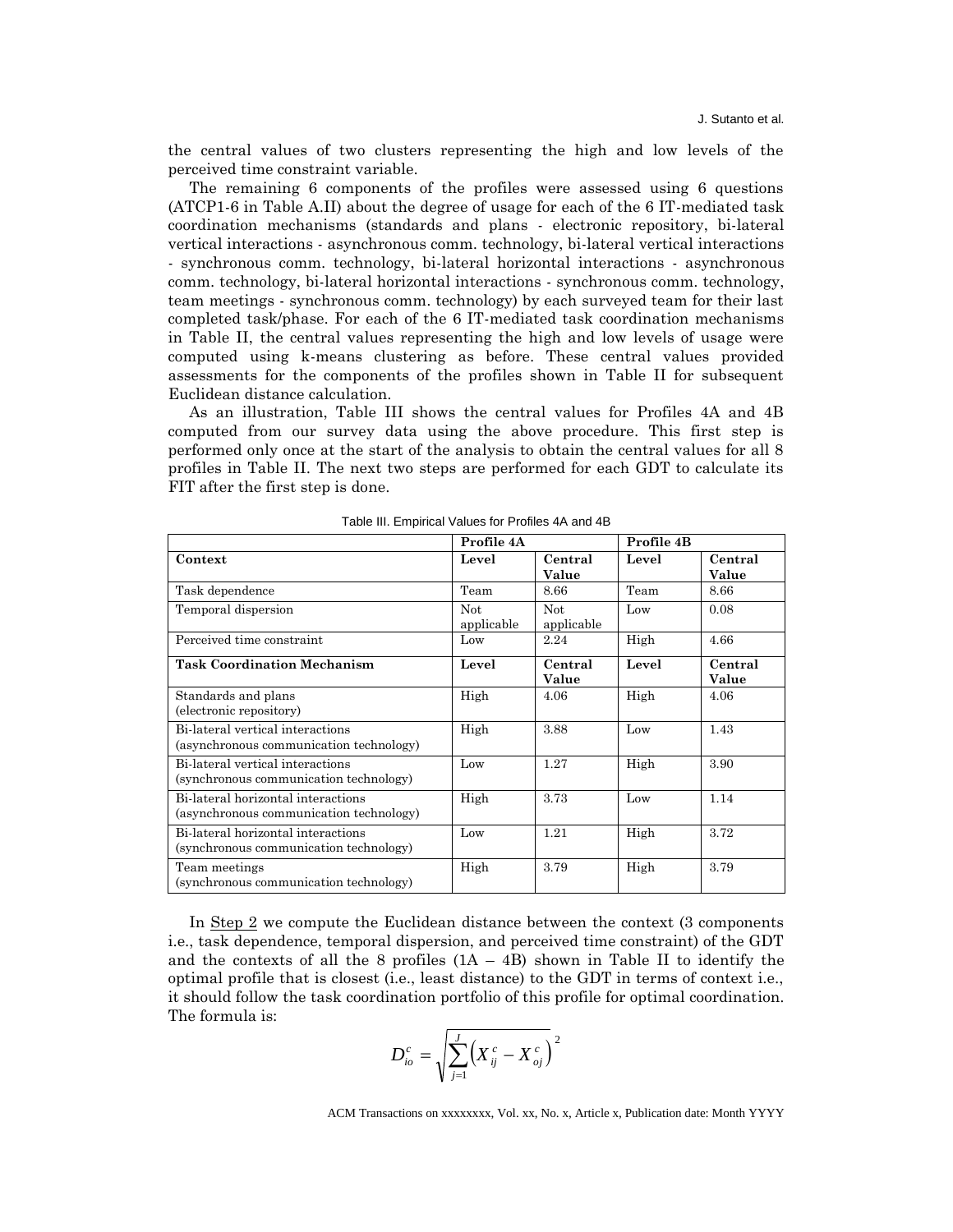the central values of two clusters representing the high and low levels of the perceived time constraint variable.

The remaining 6 components of the profiles were assessed using 6 questions (ATCP1-6 in Table A.II) about the degree of usage for each of the 6 IT-mediated task coordination mechanisms (standards and plans - electronic repository, bi-lateral vertical interactions - asynchronous comm. technology, bi-lateral vertical interactions - synchronous comm. technology, bi-lateral horizontal interactions - asynchronous comm. technology, bi-lateral horizontal interactions - synchronous comm. technology, team meetings - synchronous comm. technology) by each surveyed team for their last completed task/phase. For each of the 6 IT-mediated task coordination mechanisms in Table II, the central values representing the high and low levels of usage were computed using k-means clustering as before. These central values provided assessments for the components of the profiles shown in Table II for subsequent Euclidean distance calculation.

As an illustration, Table III shows the central values for Profiles 4A and 4B computed from our survey data using the above procedure. This first step is performed only once at the start of the analysis to obtain the central values for all 8 profiles in Table II. The next two steps are performed for each GDT to calculate its FIT after the first step is done.

| i abio iii. ⊑iiipiiioai valaoo ioi i Toilloo ⊣rt alia ⊣D                      |                   |                          |            |                  |
|-------------------------------------------------------------------------------|-------------------|--------------------------|------------|------------------|
|                                                                               | Profile 4A        |                          | Profile 4B |                  |
| Context                                                                       | Level             | Central<br>Value         | Level      | Central<br>Value |
| Task dependence                                                               | Team              | 8.66                     | Team       | 8.66             |
| Temporal dispersion                                                           | Not<br>applicable | <b>Not</b><br>applicable | Low        | 0.08             |
| Perceived time constraint                                                     | Low               | 2.24                     | High       | 4.66             |
| <b>Task Coordination Mechanism</b>                                            | Level             | Central<br>Value         | Level      | Central<br>Value |
| Standards and plans<br>(electronic repository)                                | High              | 4.06                     | High       | 4.06             |
| Bi-lateral vertical interactions<br>(asynchronous communication technology)   | High              | 3.88                     | Low        | 1.43             |
| Bi-lateral vertical interactions<br>(synchronous communication technology)    | Low               | 1.27                     | High       | 3.90             |
| Bi-lateral horizontal interactions<br>(asynchronous communication technology) | High              | 3.73                     | Low        | 1.14             |
| Bi-lateral horizontal interactions<br>(synchronous communication technology)  | Low               | 1.21                     | High       | 3.72             |
| Team meetings<br>(synchronous communication technology)                       | High              | 3.79                     | High       | 3.79             |

Table III. Empirical Values for Profiles 4A and 4B

In Step 2 we compute the Euclidean distance between the context (3 components i.e., task dependence, temporal dispersion, and perceived time constraint) of the GDT and the contexts of all the 8 profiles  $(1A - 4B)$  shown in Table II to identify the optimal profile that is closest (i.e., least distance) to the GDT in terms of context i.e., it should follow the task coordination portfolio of this profile for optimal coordination. The formula is:

$$
D_{io}^{c} = \sqrt{\sum_{j=1}^{J} (X_{ij}^{c} - X_{oj}^{c})^{2}}
$$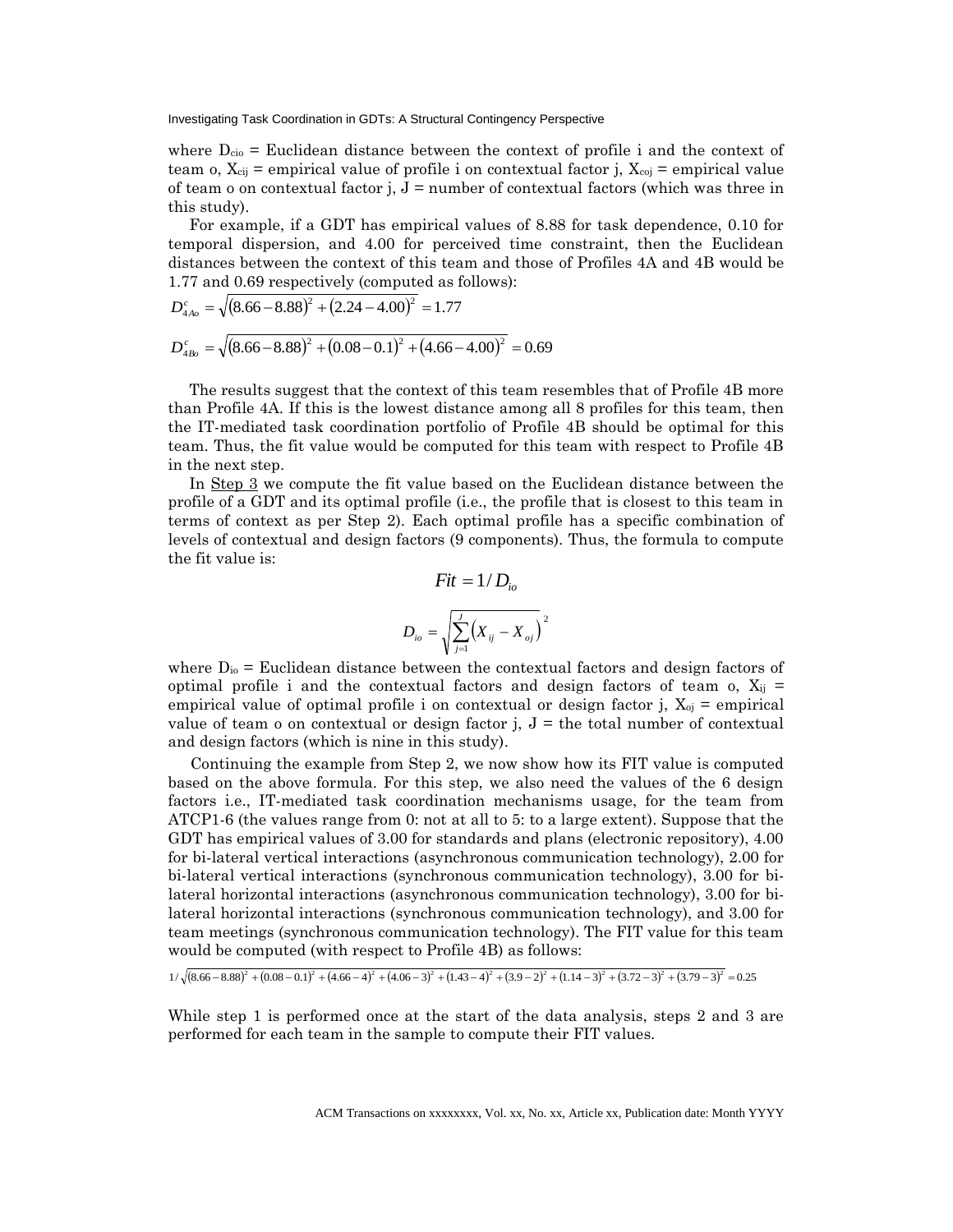where  $D_{\text{cio}}$  = Euclidean distance between the context of profile i and the context of team o,  $X_{cij}$  = empirical value of profile i on contextual factor j,  $X_{coj}$  = empirical value of team o on contextual factor j,  $J =$  number of contextual factors (which was three in this study).

For example, if a GDT has empirical values of 8.88 for task dependence, 0.10 for temporal dispersion, and 4.00 for perceived time constraint, then the Euclidean distances between the context of this team and those of Profiles 4A and 4B would be 1.77 and 0.69 respectively (computed as follows):

$$
D_{4Ao}^{c} = \sqrt{(8.66 - 8.88)^{2} + (2.24 - 4.00)^{2}} = 1.77
$$
  

$$
D_{4Bo}^{c} = \sqrt{(8.66 - 8.88)^{2} + (0.08 - 0.1)^{2} + (4.66 - 4.00)^{2}} = 0.69
$$

The results suggest that the context of this team resembles that of Profile 4B more than Profile 4A. If this is the lowest distance among all 8 profiles for this team, then the IT-mediated task coordination portfolio of Profile 4B should be optimal for this team. Thus, the fit value would be computed for this team with respect to Profile 4B in the next step.

In Step 3 we compute the fit value based on the Euclidean distance between the profile of a GDT and its optimal profile (i.e., the profile that is closest to this team in terms of context as per Step 2). Each optimal profile has a specific combination of levels of contextual and design factors (9 components). Thus, the formula to compute the fit value is:

$$
Fit = 1/D_{io}
$$
  

$$
D_{io} = \sqrt{\sum_{j=1}^{J} (X_{ij} - X_{oj})^{2}}
$$

where  $D_{i0}$  = Euclidean distance between the contextual factors and design factors of optimal profile i and the contextual factors and design factors of team o,  $X_{ij}$  = empirical value of optimal profile i on contextual or design factor j,  $X_{oj}$  = empirical value of team o on contextual or design factor j,  $J =$  the total number of contextual and design factors (which is nine in this study).

Continuing the example from Step 2, we now show how its FIT value is computed based on the above formula. For this step, we also need the values of the 6 design factors i.e., IT-mediated task coordination mechanisms usage, for the team from ATCP1-6 (the values range from 0: not at all to 5: to a large extent). Suppose that the GDT has empirical values of 3.00 for standards and plans (electronic repository), 4.00 for bi-lateral vertical interactions (asynchronous communication technology), 2.00 for bi-lateral vertical interactions (synchronous communication technology), 3.00 for bilateral horizontal interactions (asynchronous communication technology), 3.00 for bilateral horizontal interactions (synchronous communication technology), and 3.00 for team meetings (synchronous communication technology). The FIT value for this team would be computed (with respect to Profile 4B) as follows:

 $1/\sqrt{(8.66-8.88)^2+(0.08-0.1)^2+(4.66-4)^2+(4.06-3)^2+(1.43-4)^2+(3.9-2)^2+(1.14-3)^2+(3.72-3)^2+(3.79-3)^2}=0.25$ 

While step 1 is performed once at the start of the data analysis, steps 2 and 3 are performed for each team in the sample to compute their FIT values.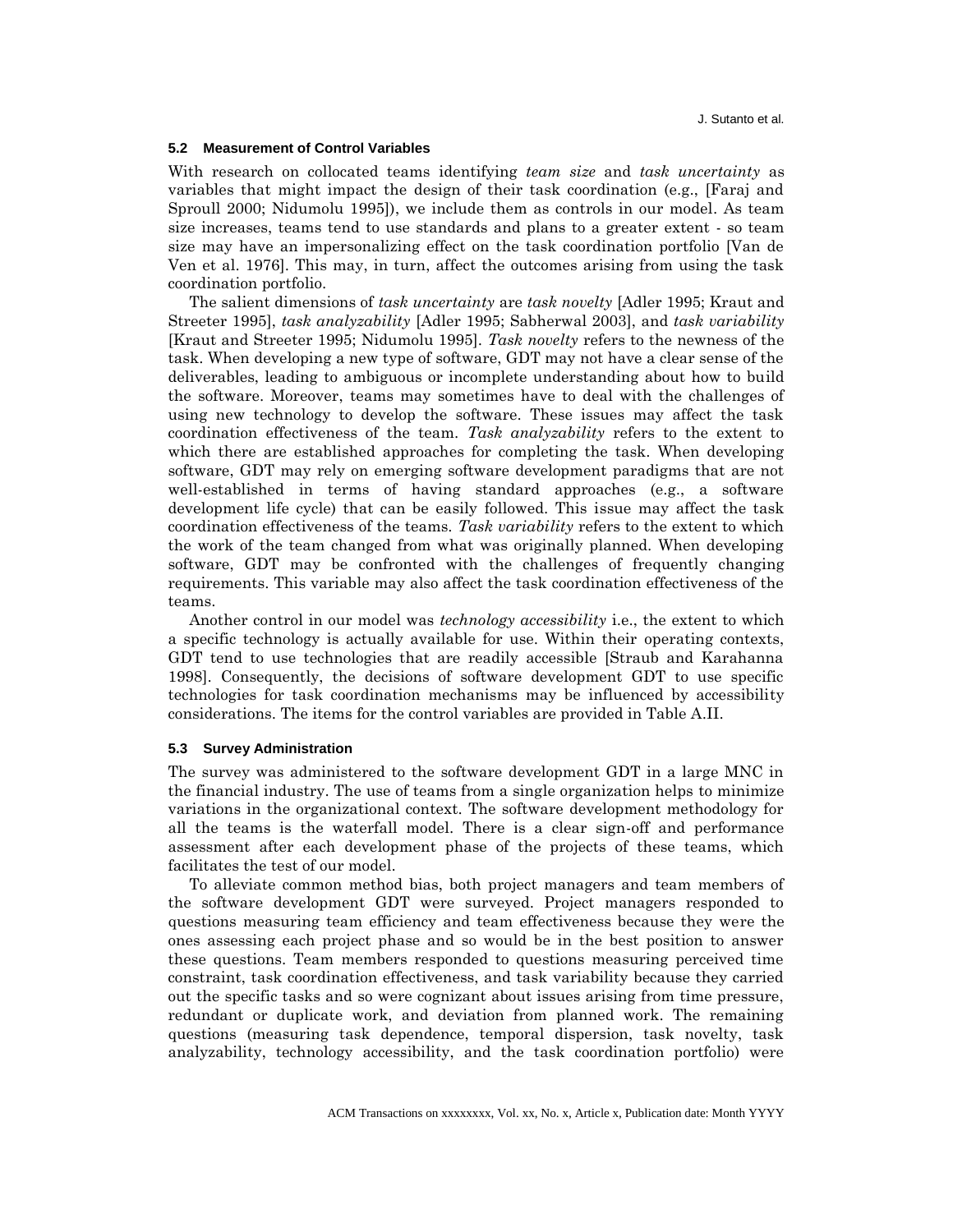#### **5.2 Measurement of Control Variables**

With research on collocated teams identifying *team size* and *task uncertainty* as variables that might impact the design of their task coordination (e.g., [Faraj and Sproull 2000; Nidumolu 1995]), we include them as controls in our model. As team size increases, teams tend to use standards and plans to a greater extent - so team size may have an impersonalizing effect on the task coordination portfolio [Van de Ven et al. 1976]. This may, in turn, affect the outcomes arising from using the task coordination portfolio.

The salient dimensions of *task uncertainty* are *task novelty* [Adler 1995; Kraut and Streeter 1995], *task analyzability* [Adler 1995; Sabherwal 2003], and *task variability* [Kraut and Streeter 1995; Nidumolu 1995]. *Task novelty* refers to the newness of the task. When developing a new type of software, GDT may not have a clear sense of the deliverables, leading to ambiguous or incomplete understanding about how to build the software. Moreover, teams may sometimes have to deal with the challenges of using new technology to develop the software. These issues may affect the task coordination effectiveness of the team. *Task analyzability* refers to the extent to which there are established approaches for completing the task. When developing software, GDT may rely on emerging software development paradigms that are not well-established in terms of having standard approaches (e.g., a software development life cycle) that can be easily followed. This issue may affect the task coordination effectiveness of the teams. *Task variability* refers to the extent to which the work of the team changed from what was originally planned. When developing software, GDT may be confronted with the challenges of frequently changing requirements. This variable may also affect the task coordination effectiveness of the teams.

Another control in our model was *technology accessibility* i.e., the extent to which a specific technology is actually available for use. Within their operating contexts, GDT tend to use technologies that are readily accessible [Straub and Karahanna 1998]. Consequently, the decisions of software development GDT to use specific technologies for task coordination mechanisms may be influenced by accessibility considerations. The items for the control variables are provided in Table A.II.

#### **5.3 Survey Administration**

The survey was administered to the software development GDT in a large MNC in the financial industry. The use of teams from a single organization helps to minimize variations in the organizational context. The software development methodology for all the teams is the waterfall model. There is a clear sign-off and performance assessment after each development phase of the projects of these teams, which facilitates the test of our model.

To alleviate common method bias, both project managers and team members of the software development GDT were surveyed. Project managers responded to questions measuring team efficiency and team effectiveness because they were the ones assessing each project phase and so would be in the best position to answer these questions. Team members responded to questions measuring perceived time constraint, task coordination effectiveness, and task variability because they carried out the specific tasks and so were cognizant about issues arising from time pressure, redundant or duplicate work, and deviation from planned work. The remaining questions (measuring task dependence, temporal dispersion, task novelty, task analyzability, technology accessibility, and the task coordination portfolio) were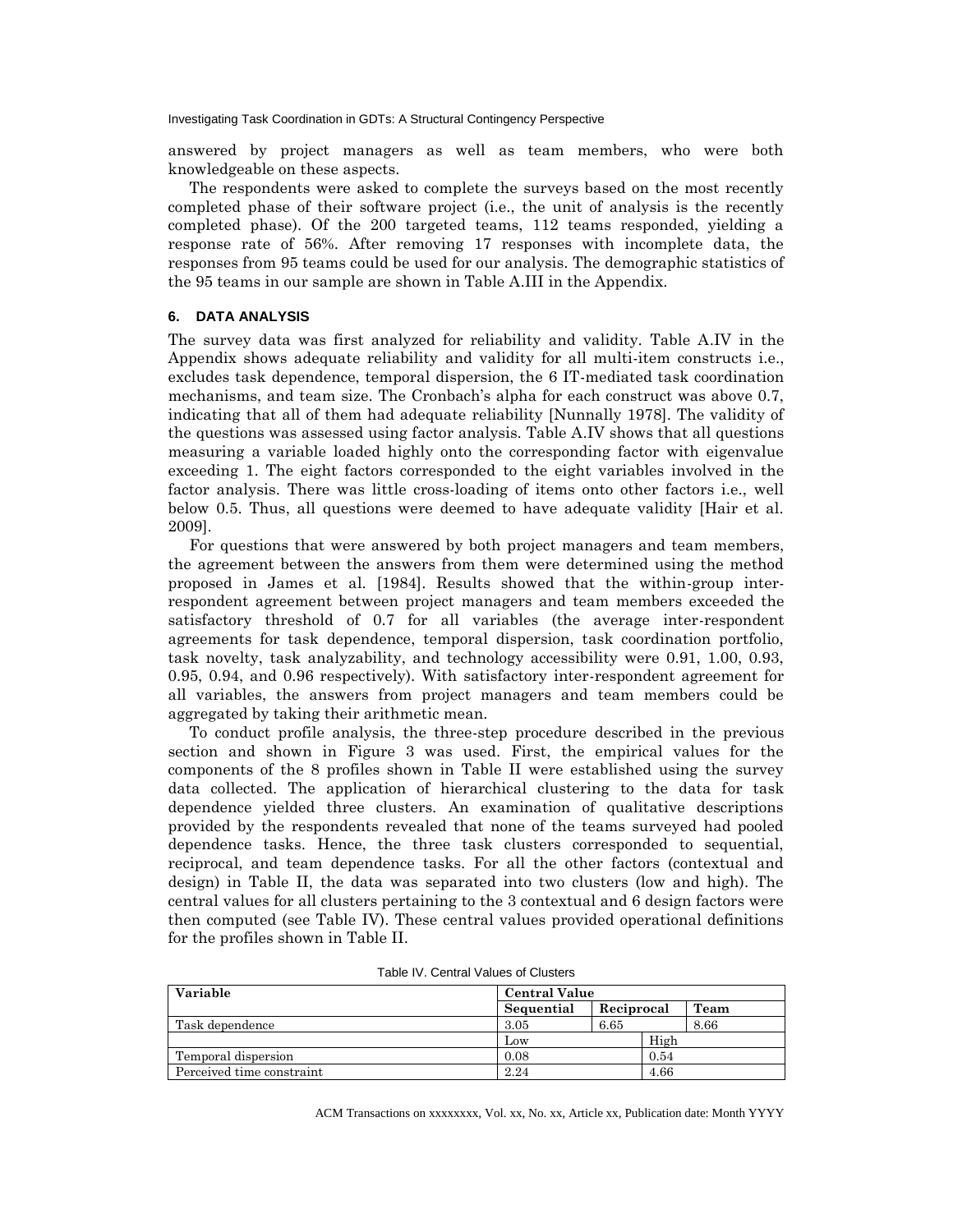answered by project managers as well as team members, who were both knowledgeable on these aspects.

The respondents were asked to complete the surveys based on the most recently completed phase of their software project (i.e., the unit of analysis is the recently completed phase). Of the 200 targeted teams, 112 teams responded, yielding a response rate of 56%. After removing 17 responses with incomplete data, the responses from 95 teams could be used for our analysis. The demographic statistics of the 95 teams in our sample are shown in Table A.III in the Appendix.

### **6. DATA ANALYSIS**

The survey data was first analyzed for reliability and validity. Table A.IV in the Appendix shows adequate reliability and validity for all multi-item constructs i.e., excludes task dependence, temporal dispersion, the 6 IT-mediated task coordination mechanisms, and team size. The Cronbach's alpha for each construct was above 0.7, indicating that all of them had adequate reliability [Nunnally 1978]. The validity of the questions was assessed using factor analysis. Table A.IV shows that all questions measuring a variable loaded highly onto the corresponding factor with eigenvalue exceeding 1. The eight factors corresponded to the eight variables involved in the factor analysis. There was little cross-loading of items onto other factors i.e., well below 0.5. Thus, all questions were deemed to have adequate validity [Hair et al. 2009].

For questions that were answered by both project managers and team members, the agreement between the answers from them were determined using the method proposed in James et al. [1984]. Results showed that the within-group interrespondent agreement between project managers and team members exceeded the satisfactory threshold of 0.7 for all variables (the average inter-respondent agreements for task dependence, temporal dispersion, task coordination portfolio, task novelty, task analyzability, and technology accessibility were 0.91, 1.00, 0.93, 0.95, 0.94, and 0.96 respectively). With satisfactory inter-respondent agreement for all variables, the answers from project managers and team members could be aggregated by taking their arithmetic mean.

To conduct profile analysis, the three-step procedure described in the previous section and shown in Figure 3 was used. First, the empirical values for the components of the 8 profiles shown in Table II were established using the survey data collected. The application of hierarchical clustering to the data for task dependence yielded three clusters. An examination of qualitative descriptions provided by the respondents revealed that none of the teams surveyed had pooled dependence tasks. Hence, the three task clusters corresponded to sequential, reciprocal, and team dependence tasks. For all the other factors (contextual and design) in Table II, the data was separated into two clusters (low and high). The central values for all clusters pertaining to the 3 contextual and 6 design factors were then computed (see Table IV). These central values provided operational definitions for the profiles shown in Table II.

| <b>Variable</b>           | <b>Central Value</b> |            |      |      |
|---------------------------|----------------------|------------|------|------|
|                           | Sequential           | Reciprocal |      | Team |
| Task dependence           | 3.05                 | 6.65       |      | 8.66 |
|                           | Low                  |            | High |      |
| Temporal dispersion       | 0.08                 |            | 0.54 |      |
| Perceived time constraint | 2.24                 |            | 4.66 |      |

Table IV. Central Values of Clusters

ACM Transactions on xxxxxxxx, Vol. xx, No. xx, Article xx, Publication date: Month YYYY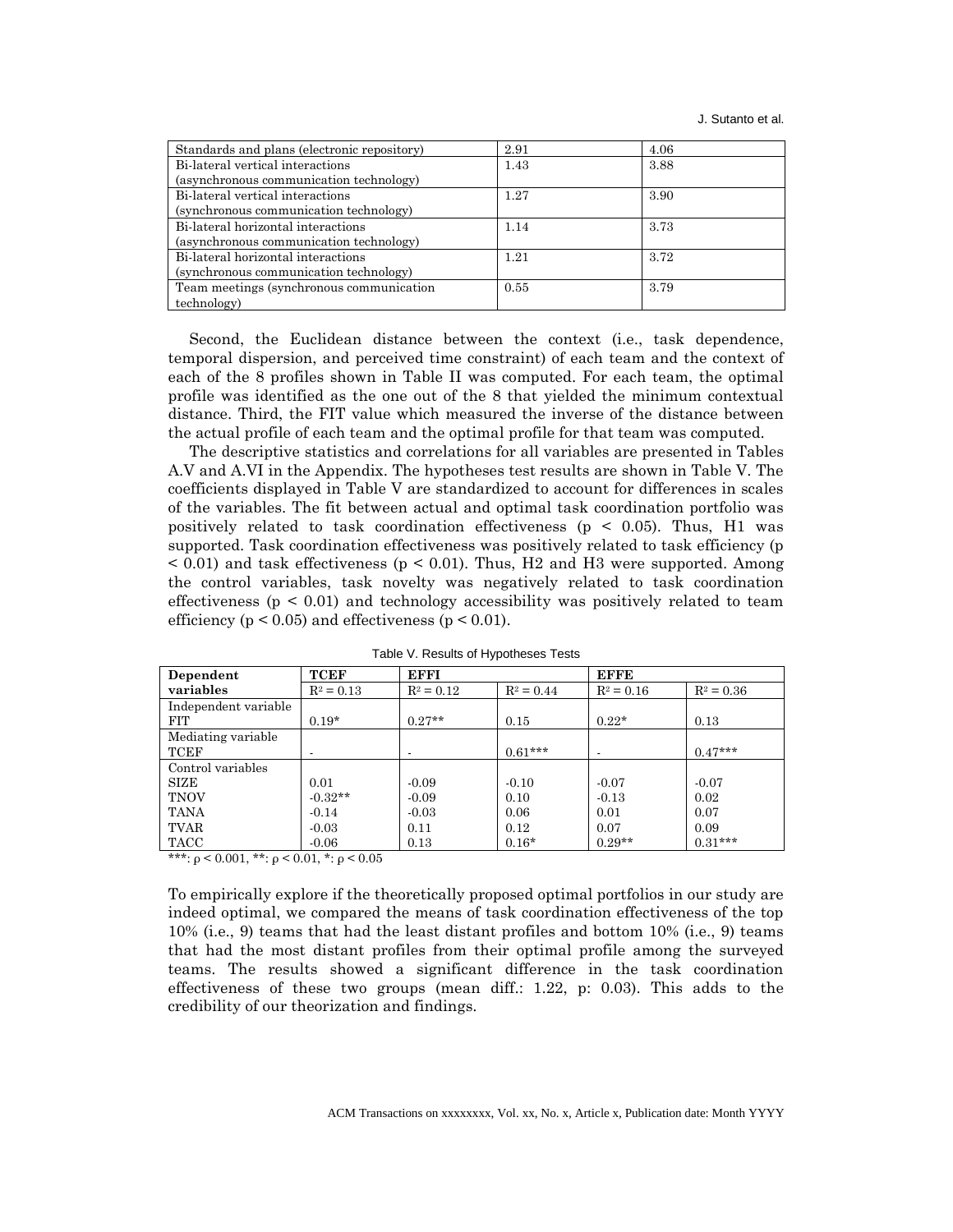| Standards and plans (electronic repository) | 2.91 | 4.06 |
|---------------------------------------------|------|------|
| Bi-lateral vertical interactions            | 1.43 | 3.88 |
| (asynchronous communication technology)     |      |      |
| Bi-lateral vertical interactions            | 1.27 | 3.90 |
| (synchronous communication technology)      |      |      |
| Bi-lateral horizontal interactions          | 1.14 | 3.73 |
| (asynchronous communication technology)     |      |      |
| Bi-lateral horizontal interactions          | 1.21 | 3.72 |
| (synchronous communication technology)      |      |      |
| Team meetings (synchronous communication    | 0.55 | 3.79 |
| technology)                                 |      |      |

Second, the Euclidean distance between the context (i.e., task dependence, temporal dispersion, and perceived time constraint) of each team and the context of each of the 8 profiles shown in Table II was computed. For each team, the optimal profile was identified as the one out of the 8 that yielded the minimum contextual distance. Third, the FIT value which measured the inverse of the distance between the actual profile of each team and the optimal profile for that team was computed.

The descriptive statistics and correlations for all variables are presented in Tables A.V and A.VI in the Appendix. The hypotheses test results are shown in Table V. The coefficients displayed in Table V are standardized to account for differences in scales of the variables. The fit between actual and optimal task coordination portfolio was positively related to task coordination effectiveness (p < 0.05). Thus, H1 was supported. Task coordination effectiveness was positively related to task efficiency (p  $<$  0.01) and task effectiveness ( $p$   $<$  0.01). Thus, H2 and H3 were supported. Among the control variables, task novelty was negatively related to task coordination effectiveness  $(p \le 0.01)$  and technology accessibility was positively related to team efficiency ( $p < 0.05$ ) and effectiveness ( $p < 0.01$ ).

| Dependent                    | <b>TCEF</b>  | <b>EFFI</b>  |              | <b>EFFE</b>              |              |
|------------------------------|--------------|--------------|--------------|--------------------------|--------------|
| variables                    | $R^2 = 0.13$ | $R^2 = 0.12$ | $R^2 = 0.44$ | $R^2 = 0.16$             | $R^2 = 0.36$ |
| Independent variable<br>FIT. | $0.19*$      | $0.27**$     | 0.15         | $0.22*$                  | 0.13         |
| Mediating variable           |              |              |              |                          |              |
| TCEF                         |              |              | $0.61***$    | $\overline{\phantom{a}}$ | $0.47***$    |
| Control variables            |              |              |              |                          |              |
| SIZE                         | 0.01         | $-0.09$      | $-0.10$      | $-0.07$                  | $-0.07$      |
| <b>TNOV</b>                  | $-0.32**$    | $-0.09$      | 0.10         | $-0.13$                  | 0.02         |
| <b>TANA</b>                  | $-0.14$      | $-0.03$      | 0.06         | 0.01                     | 0.07         |
| TVAR                         | $-0.03$      | 0.11         | 0.12         | 0.07                     | 0.09         |
| TACC                         | $-0.06$      | 0.13         | $0.16*$      | $0.29**$                 | $0.31***$    |

Table V. Results of Hypotheses Tests

\*\*\*:  $\rho$  < 0.001, \*\*:  $\rho$  < 0.01, \*:  $\rho$  < 0.05

To empirically explore if the theoretically proposed optimal portfolios in our study are indeed optimal, we compared the means of task coordination effectiveness of the top 10% (i.e., 9) teams that had the least distant profiles and bottom 10% (i.e., 9) teams that had the most distant profiles from their optimal profile among the surveyed teams. The results showed a significant difference in the task coordination effectiveness of these two groups (mean diff.: 1.22, p: 0.03). This adds to the credibility of our theorization and findings.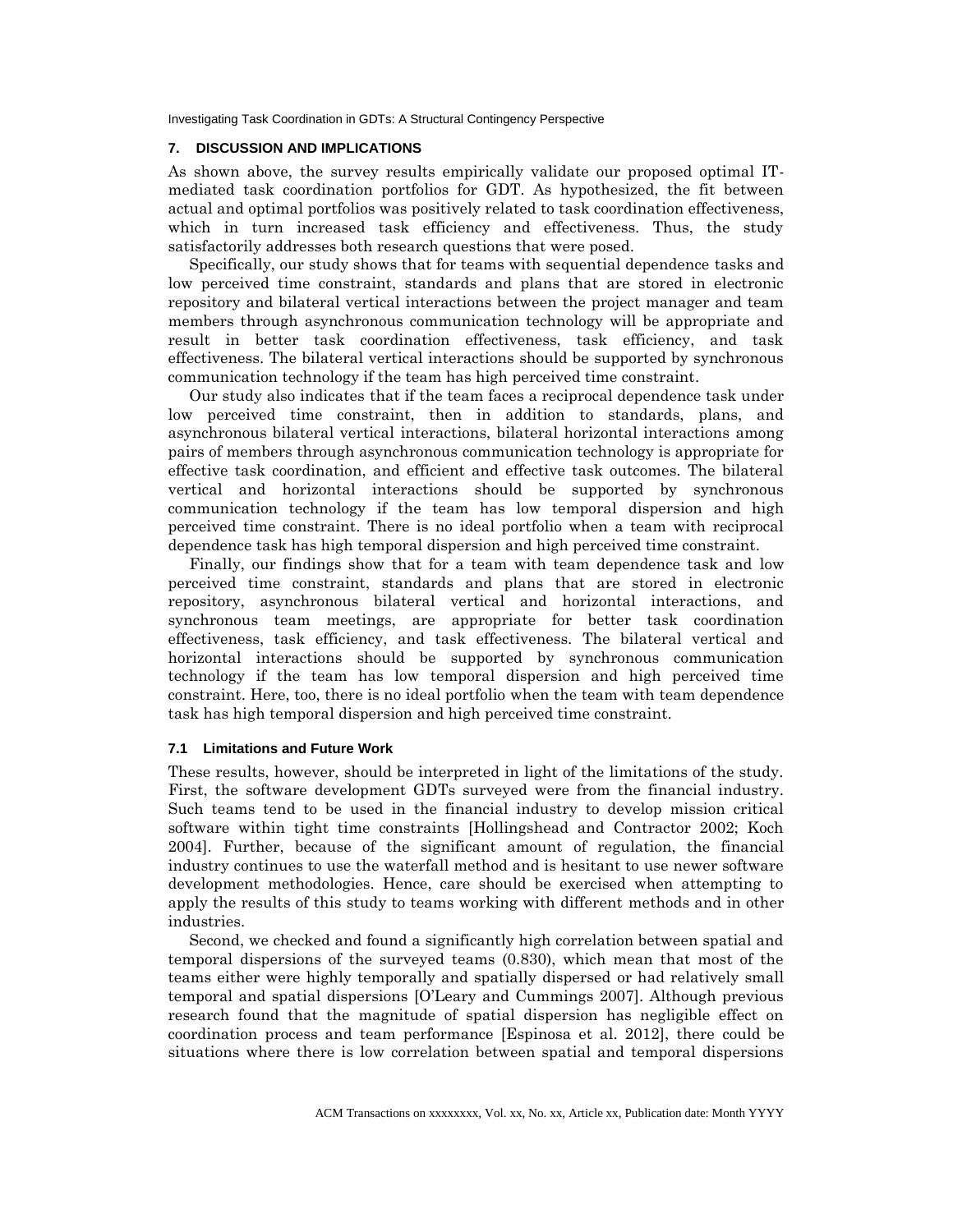#### **7. DISCUSSION AND IMPLICATIONS**

As shown above, the survey results empirically validate our proposed optimal ITmediated task coordination portfolios for GDT. As hypothesized, the fit between actual and optimal portfolios was positively related to task coordination effectiveness, which in turn increased task efficiency and effectiveness. Thus, the study satisfactorily addresses both research questions that were posed.

Specifically, our study shows that for teams with sequential dependence tasks and low perceived time constraint, standards and plans that are stored in electronic repository and bilateral vertical interactions between the project manager and team members through asynchronous communication technology will be appropriate and result in better task coordination effectiveness, task efficiency, and task effectiveness. The bilateral vertical interactions should be supported by synchronous communication technology if the team has high perceived time constraint.

Our study also indicates that if the team faces a reciprocal dependence task under low perceived time constraint, then in addition to standards, plans, and asynchronous bilateral vertical interactions, bilateral horizontal interactions among pairs of members through asynchronous communication technology is appropriate for effective task coordination, and efficient and effective task outcomes. The bilateral vertical and horizontal interactions should be supported by synchronous communication technology if the team has low temporal dispersion and high perceived time constraint. There is no ideal portfolio when a team with reciprocal dependence task has high temporal dispersion and high perceived time constraint.

Finally, our findings show that for a team with team dependence task and low perceived time constraint, standards and plans that are stored in electronic repository, asynchronous bilateral vertical and horizontal interactions, and synchronous team meetings, are appropriate for better task coordination effectiveness, task efficiency, and task effectiveness. The bilateral vertical and horizontal interactions should be supported by synchronous communication technology if the team has low temporal dispersion and high perceived time constraint. Here, too, there is no ideal portfolio when the team with team dependence task has high temporal dispersion and high perceived time constraint.

## **7.1 Limitations and Future Work**

These results, however, should be interpreted in light of the limitations of the study. First, the software development GDTs surveyed were from the financial industry. Such teams tend to be used in the financial industry to develop mission critical software within tight time constraints [Hollingshead and Contractor 2002; Koch 2004]. Further, because of the significant amount of regulation, the financial industry continues to use the waterfall method and is hesitant to use newer software development methodologies. Hence, care should be exercised when attempting to apply the results of this study to teams working with different methods and in other industries.

Second, we checked and found a significantly high correlation between spatial and temporal dispersions of the surveyed teams (0.830), which mean that most of the teams either were highly temporally and spatially dispersed or had relatively small temporal and spatial dispersions [O'Leary and Cummings 2007]. Although previous research found that the magnitude of spatial dispersion has negligible effect on coordination process and team performance [Espinosa et al. 2012], there could be situations where there is low correlation between spatial and temporal dispersions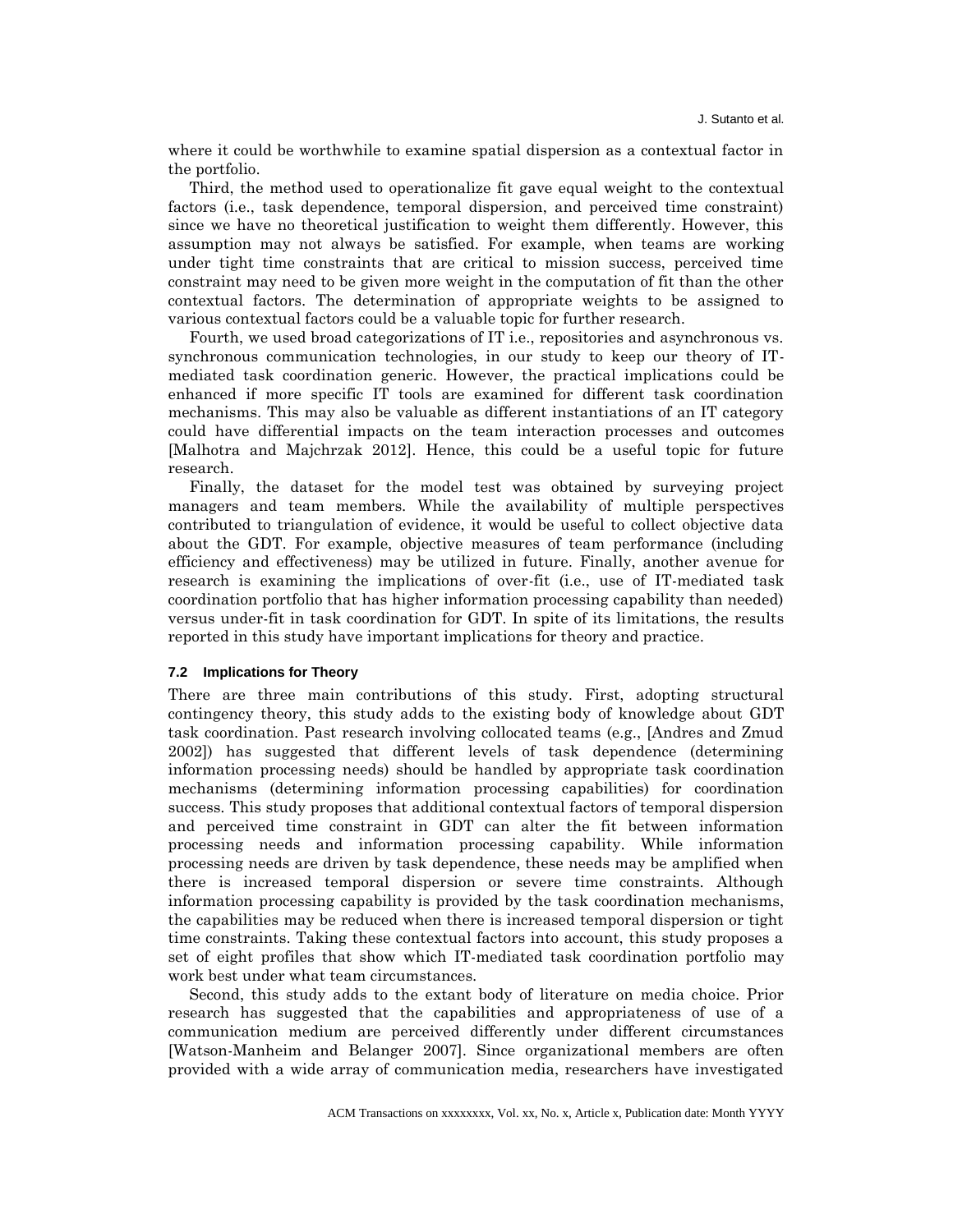where it could be worthwhile to examine spatial dispersion as a contextual factor in the portfolio.

Third, the method used to operationalize fit gave equal weight to the contextual factors (i.e., task dependence, temporal dispersion, and perceived time constraint) since we have no theoretical justification to weight them differently. However, this assumption may not always be satisfied. For example, when teams are working under tight time constraints that are critical to mission success, perceived time constraint may need to be given more weight in the computation of fit than the other contextual factors. The determination of appropriate weights to be assigned to various contextual factors could be a valuable topic for further research.

Fourth, we used broad categorizations of IT i.e., repositories and asynchronous vs. synchronous communication technologies, in our study to keep our theory of ITmediated task coordination generic. However, the practical implications could be enhanced if more specific IT tools are examined for different task coordination mechanisms. This may also be valuable as different instantiations of an IT category could have differential impacts on the team interaction processes and outcomes [Malhotra and Majchrzak 2012]. Hence, this could be a useful topic for future research.

Finally, the dataset for the model test was obtained by surveying project managers and team members. While the availability of multiple perspectives contributed to triangulation of evidence, it would be useful to collect objective data about the GDT. For example, objective measures of team performance (including efficiency and effectiveness) may be utilized in future. Finally, another avenue for research is examining the implications of over-fit (i.e., use of IT-mediated task coordination portfolio that has higher information processing capability than needed) versus under-fit in task coordination for GDT. In spite of its limitations, the results reported in this study have important implications for theory and practice.

#### **7.2 Implications for Theory**

There are three main contributions of this study. First, adopting structural contingency theory, this study adds to the existing body of knowledge about GDT task coordination. Past research involving collocated teams (e.g., [Andres and Zmud 2002]) has suggested that different levels of task dependence (determining information processing needs) should be handled by appropriate task coordination mechanisms (determining information processing capabilities) for coordination success. This study proposes that additional contextual factors of temporal dispersion and perceived time constraint in GDT can alter the fit between information processing needs and information processing capability. While information processing needs are driven by task dependence, these needs may be amplified when there is increased temporal dispersion or severe time constraints. Although information processing capability is provided by the task coordination mechanisms, the capabilities may be reduced when there is increased temporal dispersion or tight time constraints. Taking these contextual factors into account, this study proposes a set of eight profiles that show which IT-mediated task coordination portfolio may work best under what team circumstances.

Second, this study adds to the extant body of literature on media choice. Prior research has suggested that the capabilities and appropriateness of use of a communication medium are perceived differently under different circumstances [Watson-Manheim and Belanger 2007]. Since organizational members are often provided with a wide array of communication media, researchers have investigated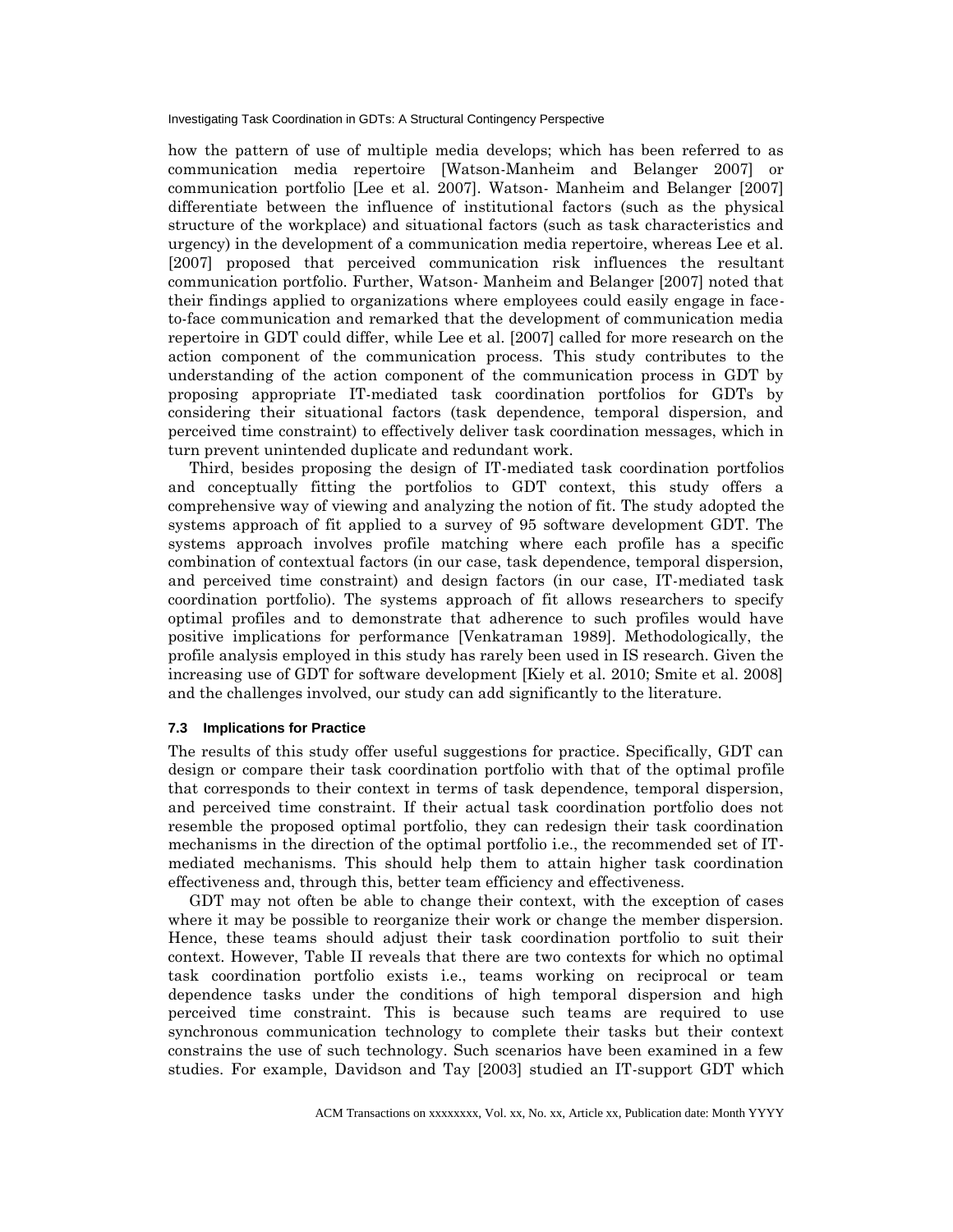how the pattern of use of multiple media develops; which has been referred to as communication media repertoire [Watson-Manheim and Belanger 2007] or communication portfolio [Lee et al. 2007]. Watson- Manheim and Belanger [2007] differentiate between the influence of institutional factors (such as the physical structure of the workplace) and situational factors (such as task characteristics and urgency) in the development of a communication media repertoire, whereas Lee et al. [2007] proposed that perceived communication risk influences the resultant communication portfolio. Further, Watson- Manheim and Belanger [2007] noted that their findings applied to organizations where employees could easily engage in faceto-face communication and remarked that the development of communication media repertoire in GDT could differ, while Lee et al. [2007] called for more research on the action component of the communication process. This study contributes to the understanding of the action component of the communication process in GDT by proposing appropriate IT-mediated task coordination portfolios for GDTs by considering their situational factors (task dependence, temporal dispersion, and perceived time constraint) to effectively deliver task coordination messages, which in turn prevent unintended duplicate and redundant work.

Third, besides proposing the design of IT-mediated task coordination portfolios and conceptually fitting the portfolios to GDT context, this study offers a comprehensive way of viewing and analyzing the notion of fit. The study adopted the systems approach of fit applied to a survey of 95 software development GDT. The systems approach involves profile matching where each profile has a specific combination of contextual factors (in our case, task dependence, temporal dispersion, and perceived time constraint) and design factors (in our case, IT-mediated task coordination portfolio). The systems approach of fit allows researchers to specify optimal profiles and to demonstrate that adherence to such profiles would have positive implications for performance [Venkatraman 1989]. Methodologically, the profile analysis employed in this study has rarely been used in IS research. Given the increasing use of GDT for software development [Kiely et al. 2010; Smite et al. 2008] and the challenges involved, our study can add significantly to the literature.

## **7.3 Implications for Practice**

The results of this study offer useful suggestions for practice. Specifically, GDT can design or compare their task coordination portfolio with that of the optimal profile that corresponds to their context in terms of task dependence, temporal dispersion, and perceived time constraint. If their actual task coordination portfolio does not resemble the proposed optimal portfolio, they can redesign their task coordination mechanisms in the direction of the optimal portfolio i.e., the recommended set of ITmediated mechanisms. This should help them to attain higher task coordination effectiveness and, through this, better team efficiency and effectiveness.

GDT may not often be able to change their context, with the exception of cases where it may be possible to reorganize their work or change the member dispersion. Hence, these teams should adjust their task coordination portfolio to suit their context. However, Table II reveals that there are two contexts for which no optimal task coordination portfolio exists i.e., teams working on reciprocal or team dependence tasks under the conditions of high temporal dispersion and high perceived time constraint. This is because such teams are required to use synchronous communication technology to complete their tasks but their context constrains the use of such technology. Such scenarios have been examined in a few studies. For example, Davidson and Tay [2003] studied an IT-support GDT which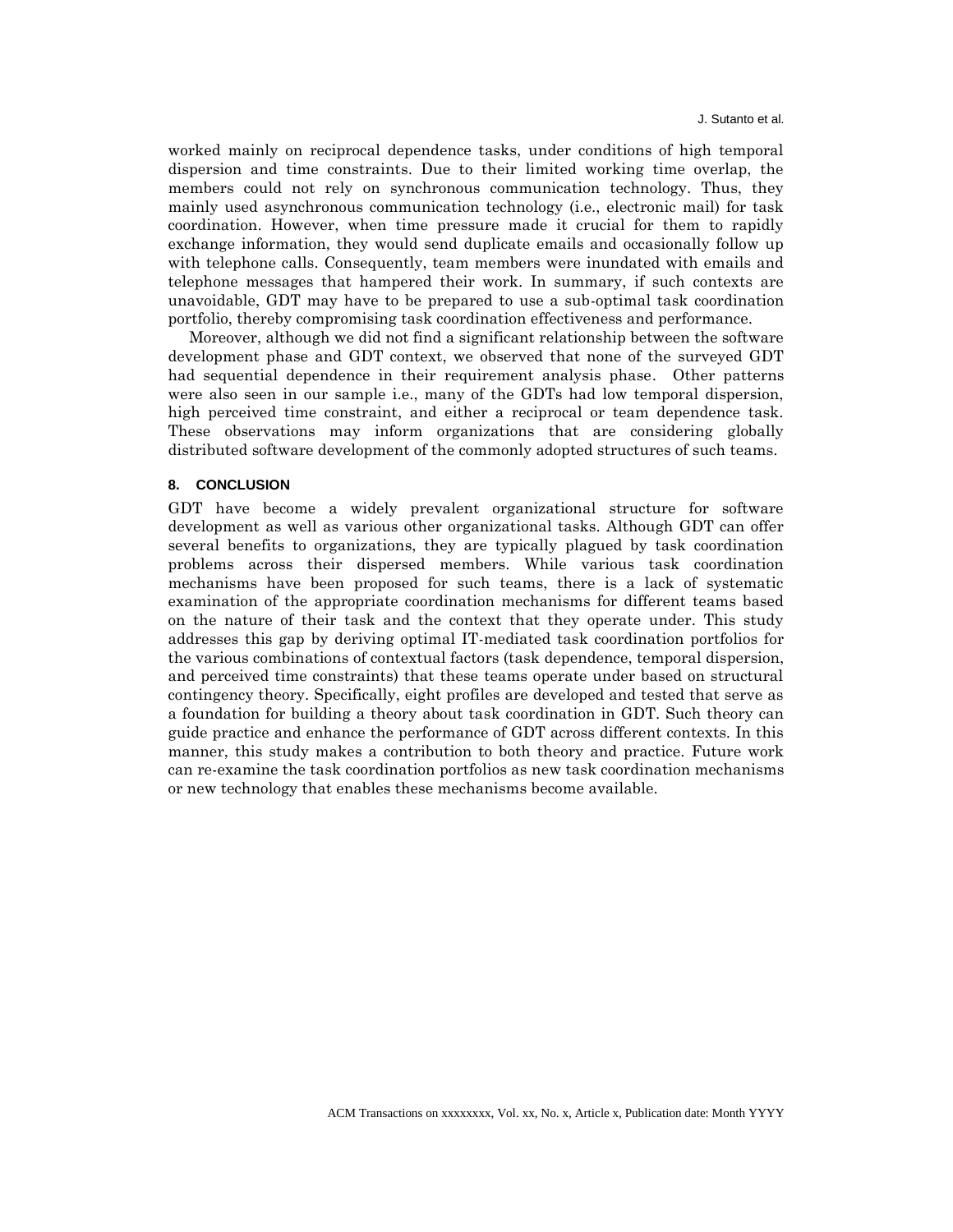worked mainly on reciprocal dependence tasks, under conditions of high temporal dispersion and time constraints. Due to their limited working time overlap, the members could not rely on synchronous communication technology. Thus, they mainly used asynchronous communication technology (i.e., electronic mail) for task coordination. However, when time pressure made it crucial for them to rapidly exchange information, they would send duplicate emails and occasionally follow up with telephone calls. Consequently, team members were inundated with emails and telephone messages that hampered their work. In summary, if such contexts are unavoidable, GDT may have to be prepared to use a sub-optimal task coordination portfolio, thereby compromising task coordination effectiveness and performance.

Moreover, although we did not find a significant relationship between the software development phase and GDT context, we observed that none of the surveyed GDT had sequential dependence in their requirement analysis phase. Other patterns were also seen in our sample i.e., many of the GDTs had low temporal dispersion, high perceived time constraint, and either a reciprocal or team dependence task. These observations may inform organizations that are considering globally distributed software development of the commonly adopted structures of such teams.

#### **8. CONCLUSION**

GDT have become a widely prevalent organizational structure for software development as well as various other organizational tasks. Although GDT can offer several benefits to organizations, they are typically plagued by task coordination problems across their dispersed members. While various task coordination mechanisms have been proposed for such teams, there is a lack of systematic examination of the appropriate coordination mechanisms for different teams based on the nature of their task and the context that they operate under. This study addresses this gap by deriving optimal IT-mediated task coordination portfolios for the various combinations of contextual factors (task dependence, temporal dispersion, and perceived time constraints) that these teams operate under based on structural contingency theory. Specifically, eight profiles are developed and tested that serve as a foundation for building a theory about task coordination in GDT. Such theory can guide practice and enhance the performance of GDT across different contexts. In this manner, this study makes a contribution to both theory and practice. Future work can re-examine the task coordination portfolios as new task coordination mechanisms or new technology that enables these mechanisms become available.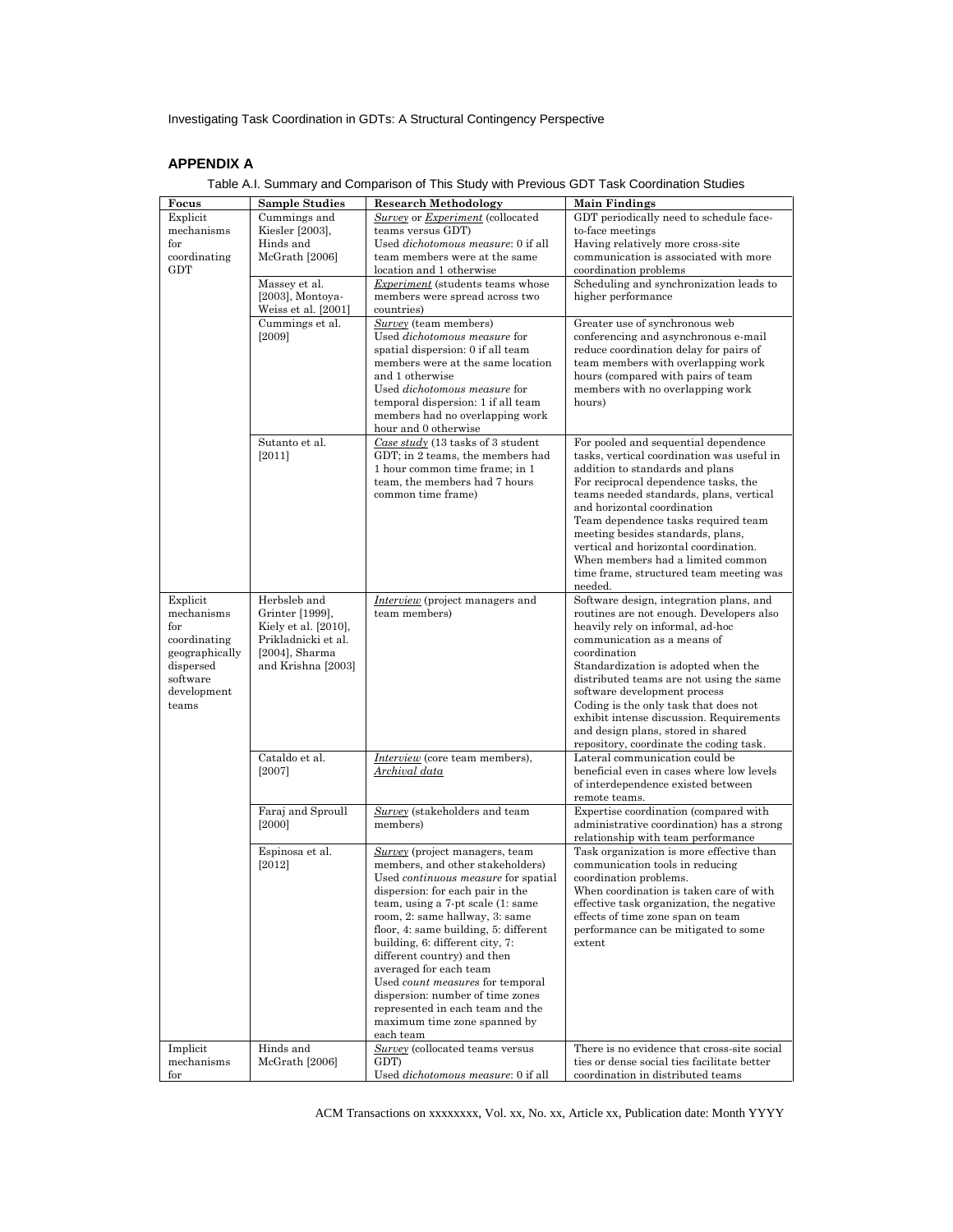# **APPENDIX A**

| Focus<br>Explicit          | <b>Sample Studies</b><br>Cummings and   | <b>Research Methodology</b><br>Survey or Experiment (collocated                | <b>Main Findings</b><br>GDT periodically need to schedule face-                    |
|----------------------------|-----------------------------------------|--------------------------------------------------------------------------------|------------------------------------------------------------------------------------|
| mechanisms                 | Kiesler [2003],                         | teams versus GDT)                                                              | to-face meetings                                                                   |
| $_{\rm for}$               | Hinds and                               | Used dichotomous measure: 0 if all                                             | Having relatively more cross-site                                                  |
| coordinating               | McGrath [2006]                          | team members were at the same                                                  | communication is associated with more                                              |
| <b>GDT</b>                 | Massey et al.                           | location and 1 otherwise<br><i>Experiment</i> (students teams whose            | coordination problems<br>Scheduling and synchronization leads to                   |
|                            | $[2003]$ , Montoya-                     | members were spread across two                                                 | higher performance                                                                 |
|                            | Weiss et al. [2001]                     | countries)                                                                     |                                                                                    |
|                            | Cummings et al.                         | Survey (team members)                                                          | Greater use of synchronous web                                                     |
|                            | [2009]                                  | Used dichotomous measure for                                                   | conferencing and asynchronous e-mail                                               |
|                            |                                         | spatial dispersion: 0 if all team<br>members were at the same location         | reduce coordination delay for pairs of<br>team members with overlapping work       |
|                            |                                         | and 1 otherwise                                                                | hours (compared with pairs of team                                                 |
|                            |                                         | Used dichotomous measure for                                                   | members with no overlapping work                                                   |
|                            |                                         | temporal dispersion: 1 if all team                                             | hours)                                                                             |
|                            |                                         | members had no overlapping work<br>hour and 0 otherwise                        |                                                                                    |
|                            | Sutanto et al.                          | Case study (13 tasks of 3 student                                              | For pooled and sequential dependence                                               |
|                            | [2011]                                  | GDT; in 2 teams, the members had                                               | tasks, vertical coordination was useful in                                         |
|                            |                                         | 1 hour common time frame; in 1                                                 | addition to standards and plans                                                    |
|                            |                                         | team, the members had 7 hours<br>common time frame)                            | For reciprocal dependence tasks, the<br>teams needed standards, plans, vertical    |
|                            |                                         |                                                                                | and horizontal coordination                                                        |
|                            |                                         |                                                                                | Team dependence tasks required team                                                |
|                            |                                         |                                                                                | meeting besides standards, plans,                                                  |
|                            |                                         |                                                                                | vertical and horizontal coordination.<br>When members had a limited common         |
|                            |                                         |                                                                                | time frame, structured team meeting was                                            |
|                            |                                         |                                                                                | needed.                                                                            |
| Explicit                   | Herbsleb and                            | <i>Interview</i> (project managers and                                         | Software design, integration plans, and                                            |
| mechanisms<br>$_{\rm for}$ | Grinter [1999],<br>Kiely et al. [2010], | team members)                                                                  | routines are not enough. Developers also<br>heavily rely on informal, ad-hoc       |
| coordinating               | Prikladnicki et al.                     |                                                                                | communication as a means of                                                        |
| geographically             | $[2004]$ , Sharma                       |                                                                                | coordination                                                                       |
| dispersed                  | and Krishna [2003]                      |                                                                                | Standardization is adopted when the                                                |
| software<br>development    |                                         |                                                                                | distributed teams are not using the same<br>software development process           |
| teams                      |                                         |                                                                                | Coding is the only task that does not                                              |
|                            |                                         |                                                                                | exhibit intense discussion. Requirements                                           |
|                            |                                         |                                                                                | and design plans, stored in shared                                                 |
|                            | Cataldo et al.                          | Interview (core team members),                                                 | repository, coordinate the coding task.<br>Lateral communication could be          |
|                            | $[2007]$                                | Archival data                                                                  | beneficial even in cases where low levels                                          |
|                            |                                         |                                                                                | of interdependence existed between                                                 |
|                            |                                         |                                                                                | remote teams.                                                                      |
|                            | Faraj and Sproull<br>$[2000]$           | Survey (stakeholders and team<br>members)                                      | Expertise coordination (compared with<br>administrative coordination) has a strong |
|                            |                                         |                                                                                | relationship with team performance                                                 |
|                            | Espinosa et al.                         | Survey (project managers, team                                                 | Task organization is more effective than                                           |
|                            | [2012]                                  | members, and other stakeholders)                                               | communication tools in reducing                                                    |
|                            |                                         | Used <i>continuous</i> measure for spatial<br>dispersion: for each pair in the | coordination problems.<br>When coordination is taken care of with                  |
|                            |                                         | team, using a 7-pt scale (1: same                                              | effective task organization, the negative                                          |
|                            |                                         | room, 2: same hallway, 3: same                                                 | effects of time zone span on team                                                  |
|                            |                                         | floor, 4: same building, 5: different                                          | performance can be mitigated to some                                               |
|                            |                                         | building, 6: different city, 7:<br>different country) and then                 | extent                                                                             |
|                            |                                         | averaged for each team                                                         |                                                                                    |
|                            |                                         | Used <i>count measures</i> for temporal                                        |                                                                                    |
|                            |                                         | dispersion: number of time zones                                               |                                                                                    |
|                            |                                         | represented in each team and the<br>maximum time zone spanned by               |                                                                                    |
|                            |                                         | each team                                                                      |                                                                                    |
| Implicit                   | Hinds and                               | Survey (collocated teams versus                                                | There is no evidence that cross-site social                                        |
| mechanisms<br>$_{\rm for}$ | McGrath [2006]                          | GDT)<br>Used dichotomous measure: 0 if all                                     | ties or dense social ties facilitate better<br>coordination in distributed teams   |
|                            |                                         |                                                                                |                                                                                    |

Table A.I. Summary and Comparison of This Study with Previous GDT Task Coordination Studies

ACM Transactions on xxxxxxxx, Vol. xx, No. xx, Article xx, Publication date: Month YYYY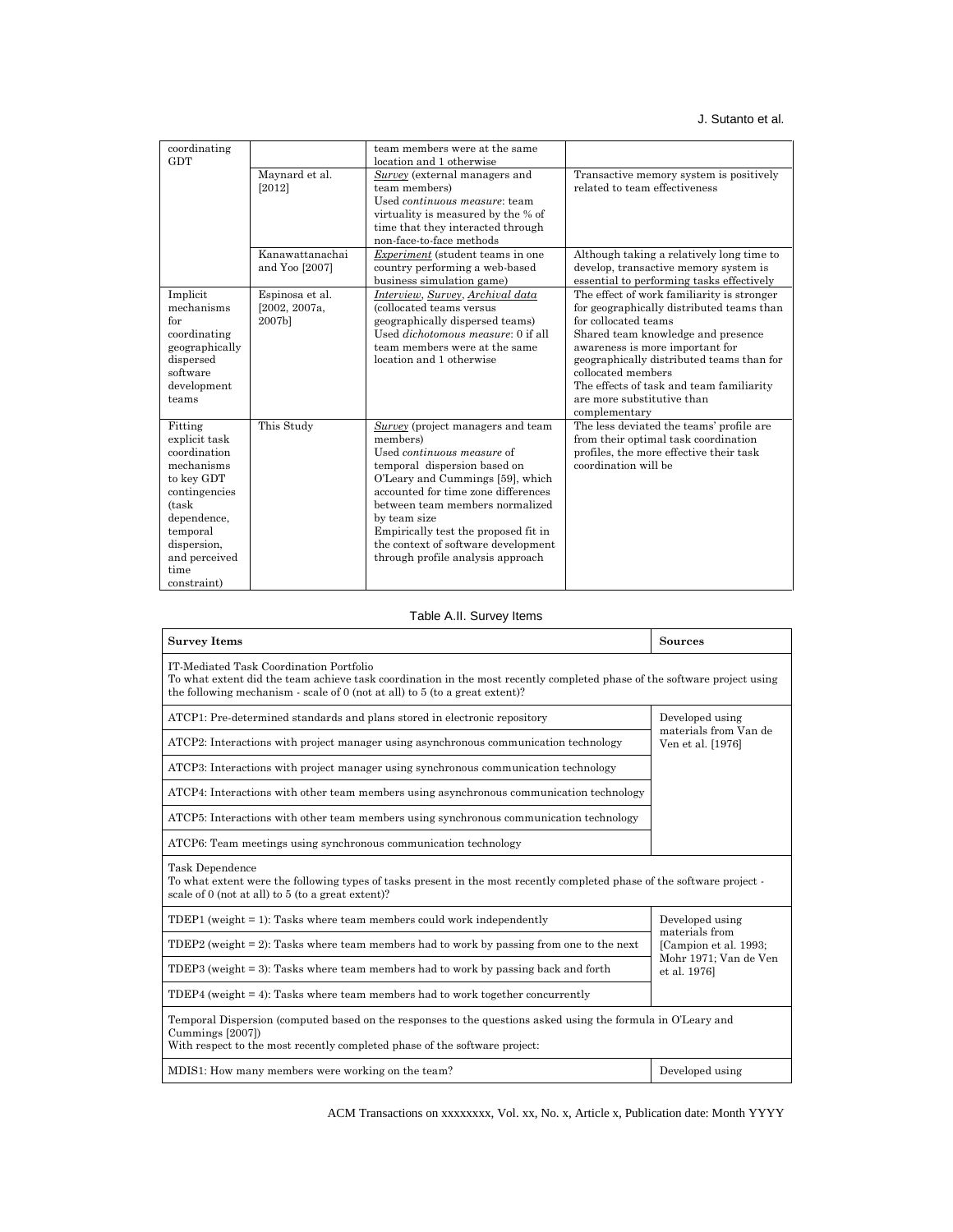| coordinating   |                 | team members were at the same              |                                            |
|----------------|-----------------|--------------------------------------------|--------------------------------------------|
| <b>GDT</b>     |                 | location and 1 otherwise                   |                                            |
|                | Maynard et al.  | Survey (external managers and              | Transactive memory system is positively    |
|                | [2012]          | team members)                              | related to team effectiveness              |
|                |                 | Used <i>continuous measure</i> : team      |                                            |
|                |                 | virtuality is measured by the % of         |                                            |
|                |                 | time that they interacted through          |                                            |
|                |                 | non-face-to-face methods                   |                                            |
|                | Kanawattanachai | <i>Experiment</i> (student teams in one    | Although taking a relatively long time to  |
|                | and Yoo [2007]  | country performing a web-based             | develop, transactive memory system is      |
|                |                 |                                            |                                            |
|                |                 | business simulation game)                  | essential to performing tasks effectively  |
| Implicit       | Espinosa et al. | Interview, Survey, Archival data           | The effect of work familiarity is stronger |
| mechanisms     | [2002, 2007a,   | (collocated teams versus                   | for geographically distributed teams than  |
| for            | 2007b]          | geographically dispersed teams)            | for collocated teams                       |
| coordinating   |                 | Used <i>dichotomous measure</i> : 0 if all | Shared team knowledge and presence         |
| geographically |                 | team members were at the same              | awareness is more important for            |
| dispersed      |                 | location and 1 otherwise                   | geographically distributed teams than for  |
| software       |                 |                                            | collocated members                         |
| development    |                 |                                            | The effects of task and team familiarity   |
| teams          |                 |                                            | are more substitutive than                 |
|                |                 |                                            | complementary                              |
| Fitting        | This Study      | Survey (project managers and team          | The less deviated the teams' profile are   |
| explicit task  |                 | members)                                   | from their optimal task coordination       |
| coordination   |                 | Used <i>continuous</i> measure of          | profiles, the more effective their task    |
| mechanisms     |                 | temporal dispersion based on               | coordination will be                       |
| to key GDT     |                 | O'Leary and Cummings [59], which           |                                            |
|                |                 | accounted for time zone differences        |                                            |
| contingencies  |                 |                                            |                                            |
| (task)         |                 | between team members normalized            |                                            |
| dependence,    |                 | by team size                               |                                            |
| temporal       |                 | Empirically test the proposed fit in       |                                            |
| dispersion,    |                 | the context of software development        |                                            |
| and perceived  |                 | through profile analysis approach          |                                            |
| time           |                 |                                            |                                            |
| constraint)    |                 |                                            |                                            |

## Table A.II. Survey Items

| <b>Survey Items</b>                                                                                                                                                                                                                                    | <b>Sources</b>                                                |  |  |
|--------------------------------------------------------------------------------------------------------------------------------------------------------------------------------------------------------------------------------------------------------|---------------------------------------------------------------|--|--|
| IT-Mediated Task Coordination Portfolio<br>To what extent did the team achieve task coordination in the most recently completed phase of the software project using<br>the following mechanism - scale of $0$ (not at all) to $5$ (to a great extent)? |                                                               |  |  |
| ATCP1: Pre-determined standards and plans stored in electronic repository                                                                                                                                                                              | Developed using<br>materials from Van de<br>Ven et al. [1976] |  |  |
| ATCP2: Interactions with project manager using asynchronous communication technology                                                                                                                                                                   |                                                               |  |  |
| ATCP3: Interactions with project manager using synchronous communication technology                                                                                                                                                                    |                                                               |  |  |
| ATCP4: Interactions with other team members using asynchronous communication technology                                                                                                                                                                |                                                               |  |  |
| ATCP5: Interactions with other team members using synchronous communication technology                                                                                                                                                                 |                                                               |  |  |
| ATCP6: Team meetings using synchronous communication technology                                                                                                                                                                                        |                                                               |  |  |
| Task Dependence<br>To what extent were the following types of tasks present in the most recently completed phase of the software project -<br>scale of 0 (not at all) to 5 (to a great extent)?                                                        |                                                               |  |  |
| TDEP1 (weight $= 1$ ): Tasks where team members could work independently                                                                                                                                                                               | Developed using<br>materials from                             |  |  |
| TDEP2 (weight $= 2$ ): Tasks where team members had to work by passing from one to the next                                                                                                                                                            | [Campion et al. 1993;                                         |  |  |
| TDEP3 (weight = 3): Tasks where team members had to work by passing back and forth                                                                                                                                                                     | Mohr 1971; Van de Ven<br>et al. 1976]                         |  |  |
| TDEP4 (weight $= 4$ ): Tasks where team members had to work together concurrently                                                                                                                                                                      |                                                               |  |  |
| Temporal Dispersion (computed based on the responses to the questions asked using the formula in O'Leary and<br>Cummings [2007])<br>With respect to the most recently completed phase of the software project:                                         |                                                               |  |  |
| MDIS1: How many members were working on the team?                                                                                                                                                                                                      | Developed using                                               |  |  |

ACM Transactions on xxxxxxxx, Vol. xx, No. x, Article x, Publication date: Month YYYY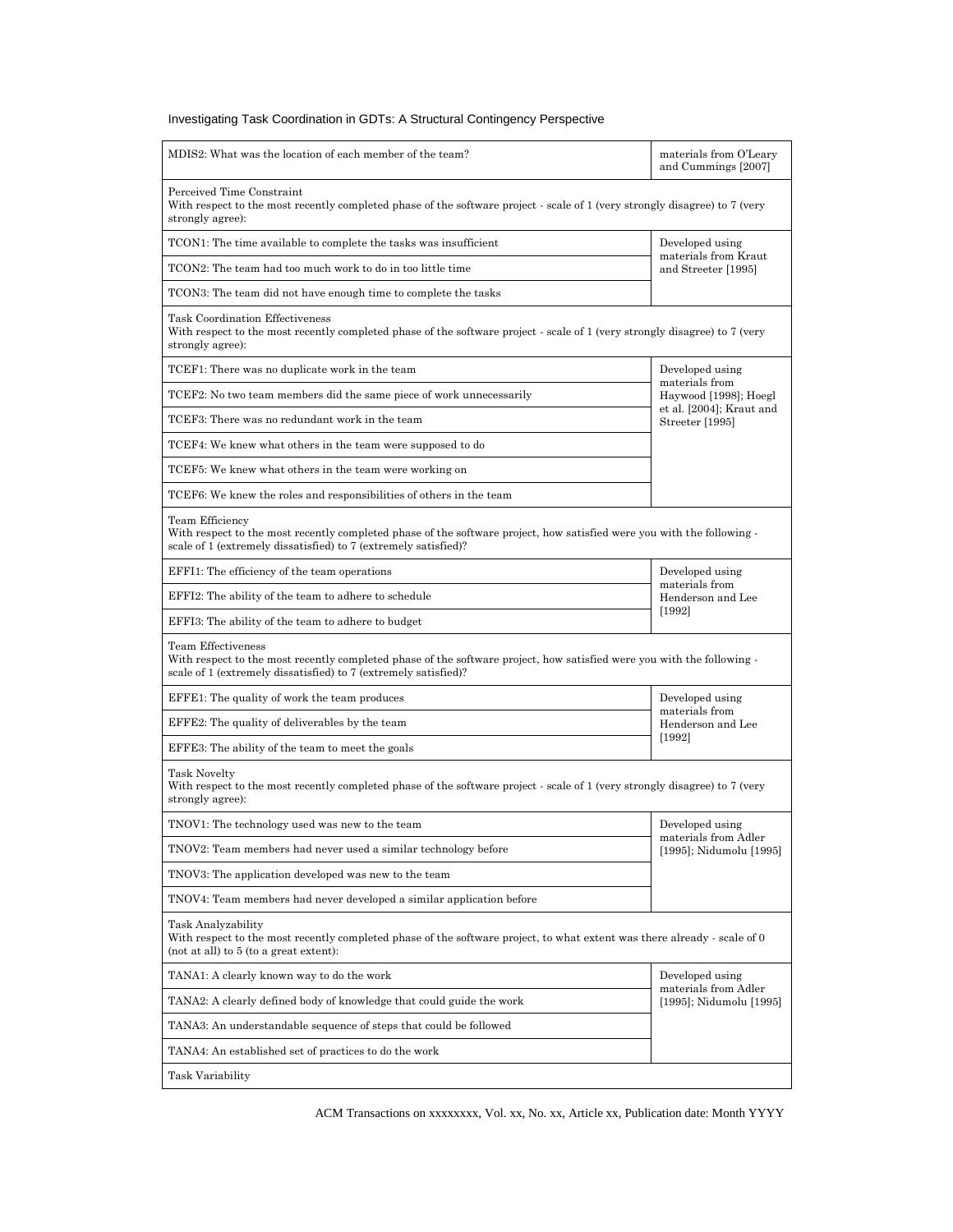| MDIS2: What was the location of each member of the team?                                                                                                                                                               | materials from O'Leary<br>and Cummings [2007]   |  |
|------------------------------------------------------------------------------------------------------------------------------------------------------------------------------------------------------------------------|-------------------------------------------------|--|
| Perceived Time Constraint<br>With respect to the most recently completed phase of the software project - scale of 1 (very strongly disagree) to 7 (very<br>strongly agree):                                            |                                                 |  |
| TCON1: The time available to complete the tasks was insufficient                                                                                                                                                       | Developed using                                 |  |
| TCON2: The team had too much work to do in too little time                                                                                                                                                             | materials from Kraut<br>and Streeter [1995]     |  |
| TCON3: The team did not have enough time to complete the tasks                                                                                                                                                         |                                                 |  |
| <b>Task Coordination Effectiveness</b><br>With respect to the most recently completed phase of the software project - scale of 1 (very strongly disagree) to 7 (very<br>strongly agree):                               |                                                 |  |
| TCEF1: There was no duplicate work in the team                                                                                                                                                                         | Developed using                                 |  |
| TCEF2: No two team members did the same piece of work unnecessarily                                                                                                                                                    | materials from<br>Haywood [1998]; Hoegl         |  |
| TCEF3: There was no redundant work in the team                                                                                                                                                                         | et al. [2004]; Kraut and<br>Streeter [1995]     |  |
| TCEF4: We knew what others in the team were supposed to do                                                                                                                                                             |                                                 |  |
| TCEF5: We knew what others in the team were working on                                                                                                                                                                 |                                                 |  |
| TCEF6: We knew the roles and responsibilities of others in the team                                                                                                                                                    |                                                 |  |
| Team Efficiency<br>With respect to the most recently completed phase of the software project, how satisfied were you with the following -<br>scale of 1 (extremely dissatisfied) to 7 (extremely satisfied)?           |                                                 |  |
| EFFI1: The efficiency of the team operations                                                                                                                                                                           | Developed using                                 |  |
| EFFI2: The ability of the team to adhere to schedule                                                                                                                                                                   | materials from<br>Henderson and Lee             |  |
| EFFI3: The ability of the team to adhere to budget                                                                                                                                                                     | [1992]                                          |  |
| <b>Team Effectiveness</b><br>With respect to the most recently completed phase of the software project, how satisfied were you with the following -<br>scale of 1 (extremely dissatisfied) to 7 (extremely satisfied)? |                                                 |  |
| EFFE1: The quality of work the team produces                                                                                                                                                                           | Developed using                                 |  |
| EFFE2: The quality of deliverables by the team                                                                                                                                                                         | materials from<br>Henderson and Lee             |  |
| EFFE3: The ability of the team to meet the goals                                                                                                                                                                       | $[1992]$                                        |  |
| Task Novelty<br>With respect to the most recently completed phase of the software project - scale of 1 (very strongly disagree) to 7 (very<br>strongly agree):                                                         |                                                 |  |
| TNOV1: The technology used was new to the team                                                                                                                                                                         | Developed using                                 |  |
| TNOV2: Team members had never used a similar technology before                                                                                                                                                         | materials from Adler<br>[1995]; Nidumolu [1995] |  |
| TNOV3: The application developed was new to the team                                                                                                                                                                   |                                                 |  |
| TNOV4: Team members had never developed a similar application before                                                                                                                                                   |                                                 |  |
| Task Analyzability<br>With respect to the most recently completed phase of the software project, to what extent was there already - scale of 0<br>(not at all) to 5 (to a great extent):                               |                                                 |  |
| TANA1: A clearly known way to do the work                                                                                                                                                                              | Developed using                                 |  |
| TANA2: A clearly defined body of knowledge that could guide the work                                                                                                                                                   | materials from Adler<br>[1995]; Nidumolu [1995] |  |
| TANA3: An understandable sequence of steps that could be followed                                                                                                                                                      |                                                 |  |
| TANA4: An established set of practices to do the work                                                                                                                                                                  |                                                 |  |
| Task Variability                                                                                                                                                                                                       |                                                 |  |

ACM Transactions on xxxxxxxx, Vol. xx, No. xx, Article xx, Publication date: Month YYYY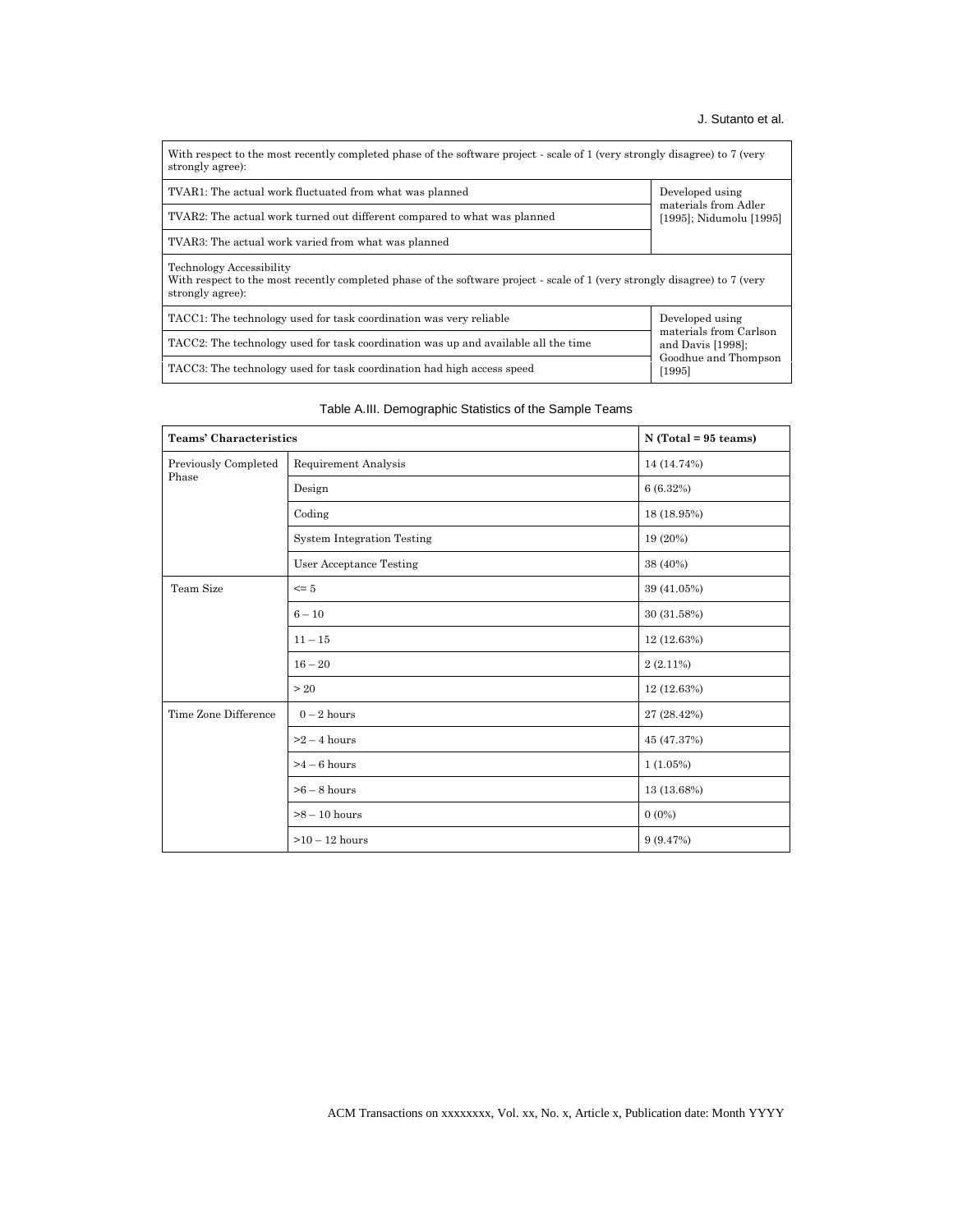## J. Sutanto et al.

| With respect to the most recently completed phase of the software project - scale of 1 (very strongly disagree) to 7 (very<br>strongly agree):                                    |                                                 |  |  |
|-----------------------------------------------------------------------------------------------------------------------------------------------------------------------------------|-------------------------------------------------|--|--|
| TVAR1: The actual work fluctuated from what was planned<br>Developed using                                                                                                        |                                                 |  |  |
| TVAR2: The actual work turned out different compared to what was planned                                                                                                          | materials from Adler<br>[1995]; Nidumolu [1995] |  |  |
| TVAR3: The actual work varied from what was planned                                                                                                                               |                                                 |  |  |
| <b>Technology Accessibility</b><br>With respect to the most recently completed phase of the software project - scale of 1 (very strongly disagree) to 7 (very<br>strongly agree): |                                                 |  |  |
| TACC1: The technology used for task coordination was very reliable                                                                                                                | Developed using<br>materials from Carlson       |  |  |
| TACC2: The technology used for task coordination was up and available all the time<br>and Davis $[1998]$ ;                                                                        |                                                 |  |  |
| TACC3: The technology used for task coordination had high access speed                                                                                                            | Goodhue and Thompson<br>[1995]                  |  |  |

## Table A.III. Demographic Statistics of the Sample Teams

| <b>Teams' Characteristics</b> |                                   | $N$ (Total = 95 teams) |
|-------------------------------|-----------------------------------|------------------------|
| Previously Completed<br>Phase | Requirement Analysis              | 14 (14.74%)            |
|                               | Design                            | 6(6.32%)               |
|                               | Coding                            | 18 (18.95%)            |
|                               | <b>System Integration Testing</b> | 19 (20%)               |
|                               | User Acceptance Testing           | 38 (40%)               |
| Team Size                     | $\leq$ 5                          | 39 (41.05%)            |
|                               | $6 - 10$                          | 30 (31.58%)            |
|                               | $11 - 15$                         | 12 (12.63%)            |
|                               | $16 - 20$                         | $2(2.11\%)$            |
|                               | >20                               | 12 (12.63%)            |
| Time Zone Difference          | $0-2$ hours                       | 27 (28.42%)            |
|                               | $>2-4$ hours                      | 45 (47.37%)            |
|                               | $>4-6$ hours                      | 1(1.05%)               |
|                               | $>6-8$ hours                      | 13 (13.68%)            |
|                               | $>8-10$ hours                     | $0(0\%)$               |
|                               | $>10-12$ hours                    | 9(9.47%)               |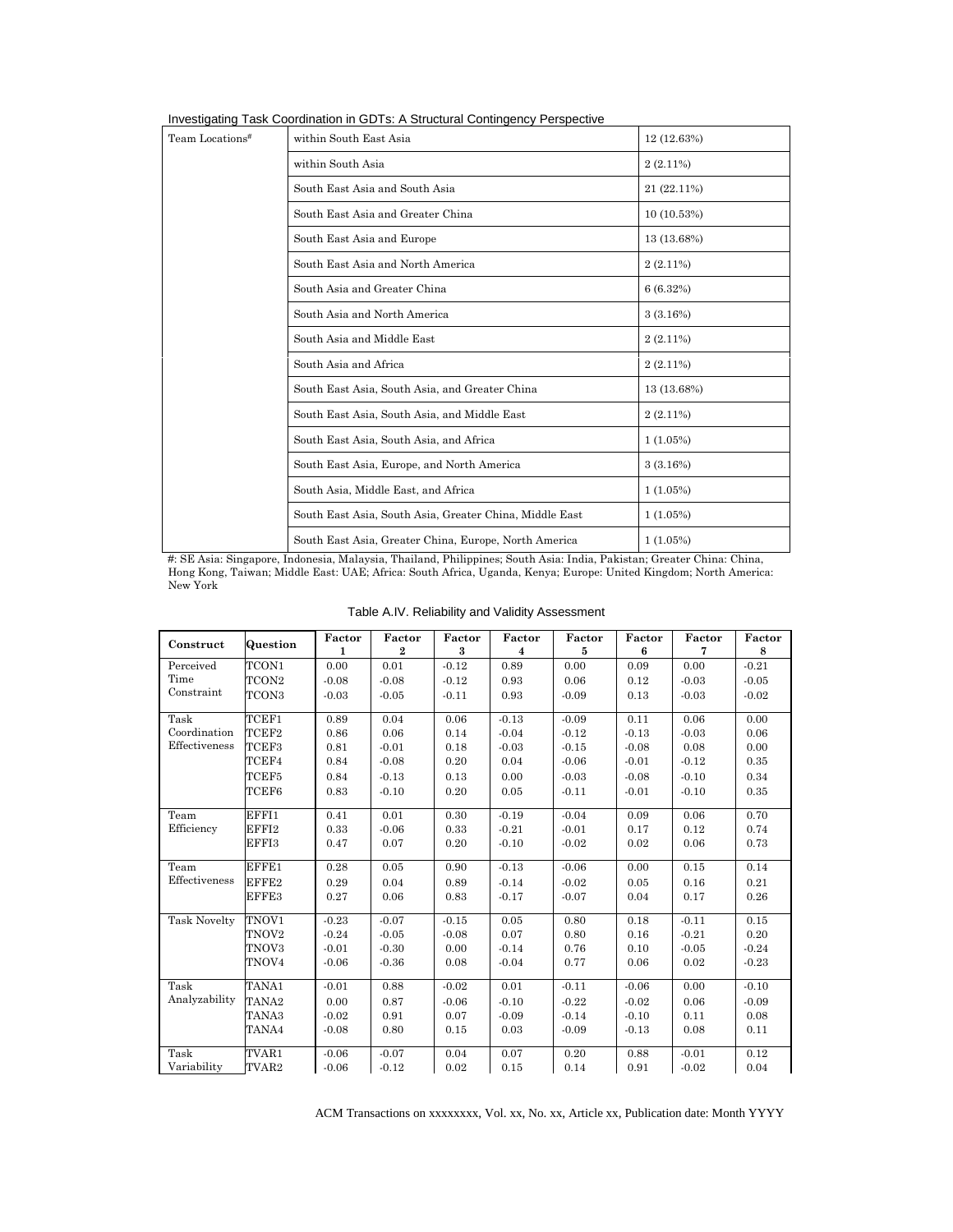|  |  |  | Investigating Task Coordination in GDTs: A Structural Contingency Perspective |
|--|--|--|-------------------------------------------------------------------------------|
|--|--|--|-------------------------------------------------------------------------------|

| Team Locations <sup>#</sup> | within South East Asia                                        | 12 (12.63%) |  |  |  |
|-----------------------------|---------------------------------------------------------------|-------------|--|--|--|
|                             | within South Asia                                             | $2(2.11\%)$ |  |  |  |
|                             | South East Asia and South Asia                                | 21 (22.11%) |  |  |  |
|                             | South East Asia and Greater China                             | 10(10.53%)  |  |  |  |
|                             | South East Asia and Europe                                    | 13 (13.68%) |  |  |  |
|                             | South East Asia and North America<br>$2(2.11\%)$              |             |  |  |  |
|                             | South Asia and Greater China                                  | 6(6.32%)    |  |  |  |
|                             | South Asia and North America                                  | 3(3.16%)    |  |  |  |
|                             | South Asia and Middle East                                    | $2(2.11\%)$ |  |  |  |
|                             | South Asia and Africa                                         | $2(2.11\%)$ |  |  |  |
|                             | South East Asia, South Asia, and Greater China<br>13 (13.68%) |             |  |  |  |
|                             | South East Asia, South Asia, and Middle East                  | $2(2.11\%)$ |  |  |  |
|                             | South East Asia, South Asia, and Africa                       | 1(1.05%)    |  |  |  |
|                             | South East Asia, Europe, and North America<br>3(3.16%)        |             |  |  |  |
|                             | South Asia, Middle East, and Africa                           | 1(1.05%)    |  |  |  |
|                             | South East Asia, South Asia, Greater China, Middle East       | $1(1.05\%)$ |  |  |  |
|                             | South East Asia, Greater China, Europe, North America         | 1(1.05%)    |  |  |  |

#: SE Asia: Singapore, Indonesia, Malaysia, Thailand, Philippines; South Asia: India, Pakistan; Greater China: China, Hong Kong, Taiwan; Middle East: UAE; Africa: South Africa, Uganda, Kenya; Europe: United Kingdom; North America: New York

| Construct           | Question          | Factor<br>1 | Factor<br>$\mathbf{2}$ | Factor<br>$\bf{3}$ | Factor<br>$\overline{\mathbf{4}}$ | Factor<br>5 | Factor<br>$6\phantom{1}$ | Factor<br>7 | Factor<br>8 |
|---------------------|-------------------|-------------|------------------------|--------------------|-----------------------------------|-------------|--------------------------|-------------|-------------|
| Perceived           | TCON1             | 0.00        | 0.01                   | $-0.12$            | 0.89                              | 0.00        | 0.09                     | 0.00        | $-0.21$     |
| Time                | TCON2             | $-0.08$     | $-0.08$                | $-0.12$            | 0.93                              | 0.06        | 0.12                     | $-0.03$     | $-0.05$     |
| Constraint          |                   |             |                        |                    |                                   |             |                          |             |             |
|                     | TCON3             | $-0.03$     | $-0.05$                | $-0.11$            | 0.93                              | $-0.09$     | 0.13                     | $-0.03$     | $-0.02$     |
| Task                | TCEF1             | 0.89        | 0.04                   | 0.06               | $-0.13$                           | $-0.09$     | 0.11                     | 0.06        | 0.00        |
| Coordination        | TCEF2             | 0.86        | 0.06                   | 0.14               | $-0.04$                           | $-0.12$     | $-0.13$                  | $-0.03$     | 0.06        |
| Effectiveness       | TCEF3             | 0.81        | $-0.01$                | 0.18               | $-0.03$                           | $-0.15$     | $-0.08$                  | 0.08        | 0.00        |
|                     | TCEF4             | 0.84        | $-0.08$                | 0.20               | 0.04                              | $-0.06$     | $-0.01$                  | $-0.12$     | 0.35        |
|                     | TCEF5             | 0.84        | $-0.13$                | 0.13               | 0.00                              | $-0.03$     | $-0.08$                  | $-0.10$     | 0.34        |
|                     | TCEF6             | 0.83        | $-0.10$                | 0.20               | 0.05                              | $-0.11$     | $-0.01$                  | $-0.10$     | 0.35        |
|                     |                   |             |                        |                    |                                   |             |                          |             |             |
| Team                | EFFI1             | 0.41        | 0.01                   | 0.30               | $-0.19$                           | $-0.04$     | 0.09                     | 0.06        | 0.70        |
| Efficiency          | EFFI2             | 0.33        | $-0.06$                | 0.33               | $-0.21$                           | $-0.01$     | 0.17                     | 0.12        | 0.74        |
|                     | EFFI3             | 0.47        | 0.07                   | 0.20               | $-0.10$                           | $-0.02$     | 0.02                     | 0.06        | 0.73        |
| Team                | EFFE1             | 0.28        | 0.05                   | 0.90               | $-0.13$                           | $-0.06$     | 0.00                     | 0.15        | 0.14        |
| Effectiveness       | EFFE2             | 0.29        | 0.04                   | 0.89               | $-0.14$                           | $-0.02$     | 0.05                     | 0.16        | 0.21        |
|                     | EFFE3             | 0.27        | 0.06                   | 0.83               | $-0.17$                           | $-0.07$     | 0.04                     | 0.17        | 0.26        |
| <b>Task Novelty</b> | TNOV1             | $-0.23$     | $-0.07$                | $-0.15$            | 0.05                              | 0.80        | 0.18                     | $-0.11$     | 0.15        |
|                     | TNOV <sub>2</sub> | $-0.24$     | $-0.05$                | $-0.08$            | 0.07                              | 0.80        | 0.16                     | $-0.21$     | 0.20        |
|                     | TNOV3             | $-0.01$     | $-0.30$                | 0.00               | $-0.14$                           | 0.76        | 0.10                     | $-0.05$     | $-0.24$     |
|                     | TNOV <sub>4</sub> | $-0.06$     | $-0.36$                | 0.08               | $-0.04$                           | 0.77        | 0.06                     | 0.02        | $-0.23$     |
|                     |                   |             |                        |                    |                                   |             |                          |             |             |
| Task                | TANA1             | $-0.01$     | 0.88                   | $-0.02$            | 0.01                              | $-0.11$     | $-0.06$                  | 0.00        | $-0.10$     |
| Analyzability       | TANA <sub>2</sub> | 0.00        | 0.87                   | $-0.06$            | $-0.10$                           | $-0.22$     | $-0.02$                  | 0.06        | $-0.09$     |
|                     | TANA3             | $-0.02$     | 0.91                   | 0.07               | $-0.09$                           | $-0.14$     | $-0.10$                  | 0.11        | 0.08        |
|                     | TANA4             | $-0.08$     | 0.80                   | 0.15               | 0.03                              | $-0.09$     | $-0.13$                  | 0.08        | 0.11        |
| Task                | TVAR1             | $-0.06$     | $-0.07$                | 0.04               | 0.07                              | 0.20        | 0.88                     | $-0.01$     | 0.12        |
| Variability         | TVAR <sub>2</sub> | $-0.06$     | $-0.12$                | 0.02               | 0.15                              | 0.14        | 0.91                     | $-0.02$     | 0.04        |

Table A.IV. Reliability and Validity Assessment

ACM Transactions on xxxxxxxx, Vol. xx, No. xx, Article xx, Publication date: Month YYYY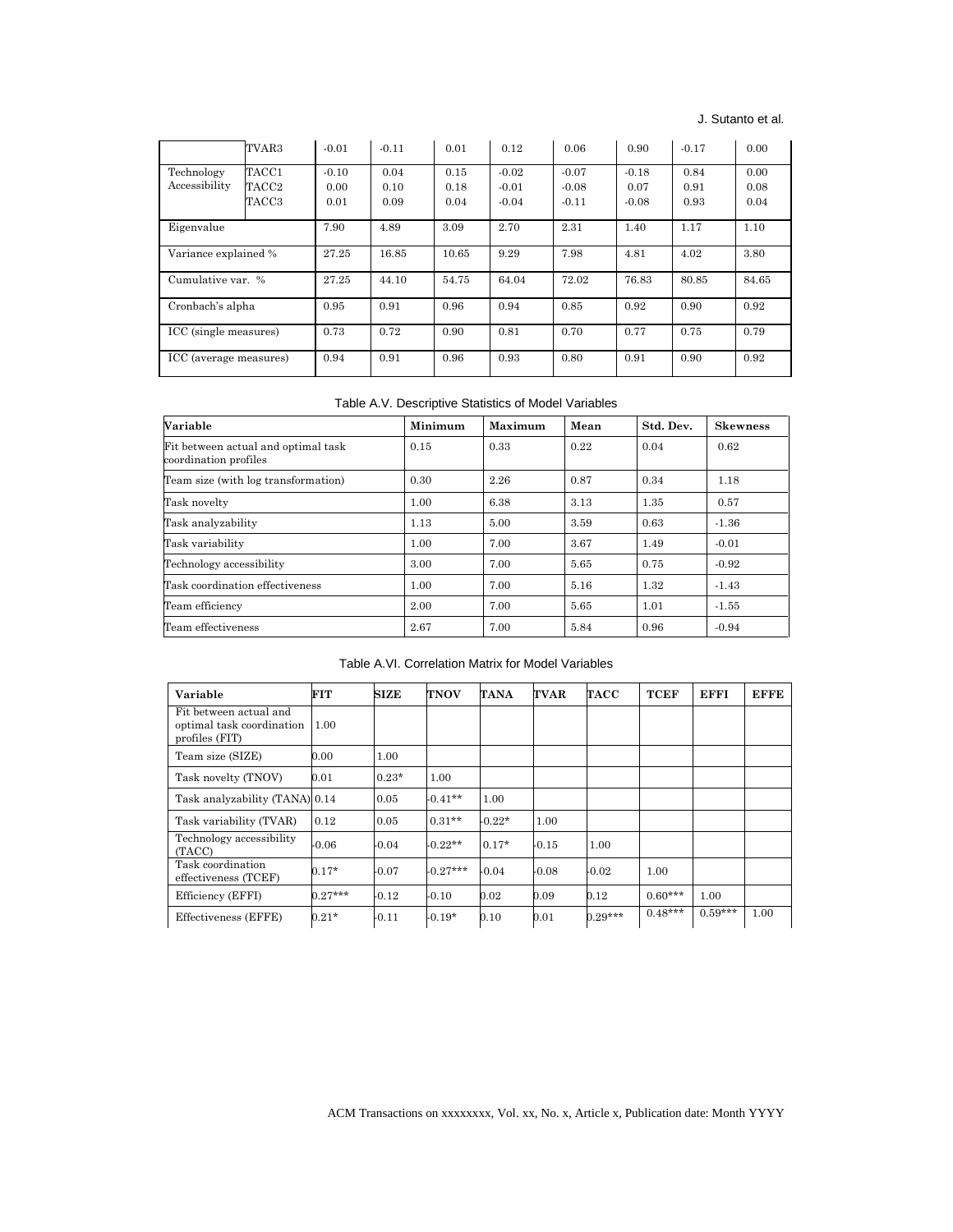## J. Sutanto et al.

|                             | TVAR3                   | $-0.01$                 | $-0.11$              | 0.01                 | 0.12                          | 0.06                          | 0.90                       | $-0.17$              | 0.00                 |
|-----------------------------|-------------------------|-------------------------|----------------------|----------------------|-------------------------------|-------------------------------|----------------------------|----------------------|----------------------|
| Technology<br>Accessibility | TACC1<br>TACC2<br>TACC3 | $-0.10$<br>0.00<br>0.01 | 0.04<br>0.10<br>0.09 | 0.15<br>0.18<br>0.04 | $-0.02$<br>$-0.01$<br>$-0.04$ | $-0.07$<br>$-0.08$<br>$-0.11$ | $-0.18$<br>0.07<br>$-0.08$ | 0.84<br>0.91<br>0.93 | 0.00<br>0.08<br>0.04 |
| Eigenvalue                  |                         | 7.90                    | 4.89                 | 3.09                 | 2.70                          | 2.31                          | 1.40                       | 1.17                 | 1.10                 |
| Variance explained %        |                         | 27.25                   | 16.85                | 10.65                | 9.29                          | 7.98                          | 4.81                       | 4.02                 | 3.80                 |
| Cumulative var. %           |                         | 27.25                   | 44.10                | 54.75                | 64.04                         | 72.02                         | 76.83                      | 80.85                | 84.65                |
| Cronbach's alpha            |                         | 0.95                    | 0.91                 | 0.96                 | 0.94                          | 0.85                          | 0.92                       | 0.90                 | 0.92                 |
| ICC (single measures)       |                         | 0.73                    | 0.72                 | 0.90                 | 0.81                          | 0.70                          | 0.77                       | 0.75                 | 0.79                 |
| ICC (average measures)      |                         | 0.94                    | 0.91                 | 0.96                 | 0.93                          | 0.80                          | 0.91                       | 0.90                 | 0.92                 |

Table A.V. Descriptive Statistics of Model Variables

| Variable                                                     | Minimum | Maximum | Mean | Std. Dev. | <b>Skewness</b> |
|--------------------------------------------------------------|---------|---------|------|-----------|-----------------|
| Fit between actual and optimal task<br>coordination profiles | 0.15    | 0.33    | 0.22 | 0.04      | 0.62            |
| Team size (with log transformation)                          | 0.30    | 2.26    | 0.87 | 0.34      | 1.18            |
| Task novelty                                                 | 1.00    | 6.38    | 3.13 | 1.35      | 0.57            |
| Task analyzability                                           | 1.13    | 5.00    | 3.59 | 0.63      | $-1.36$         |
| Task variability                                             | 1.00    | 7.00    | 3.67 | 1.49      | $-0.01$         |
| Technology accessibility                                     | 3.00    | 7.00    | 5.65 | 0.75      | $-0.92$         |
| Task coordination effectiveness                              | 1.00    | 7.00    | 5.16 | 1.32      | $-1.43$         |
| Team efficiency                                              | 2.00    | 7.00    | 5.65 | 1.01      | $-1.55$         |
| Team effectiveness                                           | 2.67    | 7.00    | 5.84 | 0.96      | $-0.94$         |

Table A.VI. Correlation Matrix for Model Variables

| Variable                                                              | <b>FIT</b> | ${\rm SIZE}$ | TNOV       | TANA     | TVAR    | TACC      | TCEF      | EFFI      | <b>EFFE</b> |
|-----------------------------------------------------------------------|------------|--------------|------------|----------|---------|-----------|-----------|-----------|-------------|
| Fit between actual and<br>optimal task coordination<br>profiles (FIT) | 1.00       |              |            |          |         |           |           |           |             |
| Team size (SIZE)                                                      | 0.00       | 1.00         |            |          |         |           |           |           |             |
| Task novelty (TNOV)                                                   | 0.01       | $0.23*$      | 1.00       |          |         |           |           |           |             |
| Task analyzability (TANA) 0.14                                        |            | 0.05         | $-0.41**$  | 1.00     |         |           |           |           |             |
| Task variability (TVAR)                                               | 0.12       | 0.05         | $0.31**$   | $-0.22*$ | 1.00    |           |           |           |             |
| Technology accessibility<br>(TACC)                                    | $-0.06$    | $-0.04$      | $-0.22**$  | $0.17*$  | -0.15   | 1.00      |           |           |             |
| Task coordination<br>effectiveness (TCEF)                             | $0.17*$    | $-0.07$      | $-0.27***$ | -0.04    | $-0.08$ | -0.02     | 1.00      |           |             |
| Efficiency (EFFI)                                                     | $0.27***$  | $-0.12$      | $-0.10$    | 0.02     | 0.09    | 0.12      | $0.60***$ | 1.00      |             |
| Effectiveness (EFFE)                                                  | $0.21*$    | $-0.11$      | $-0.19*$   | 0.10     | 0.01    | $0.29***$ | $0.48***$ | $0.59***$ | 1.00        |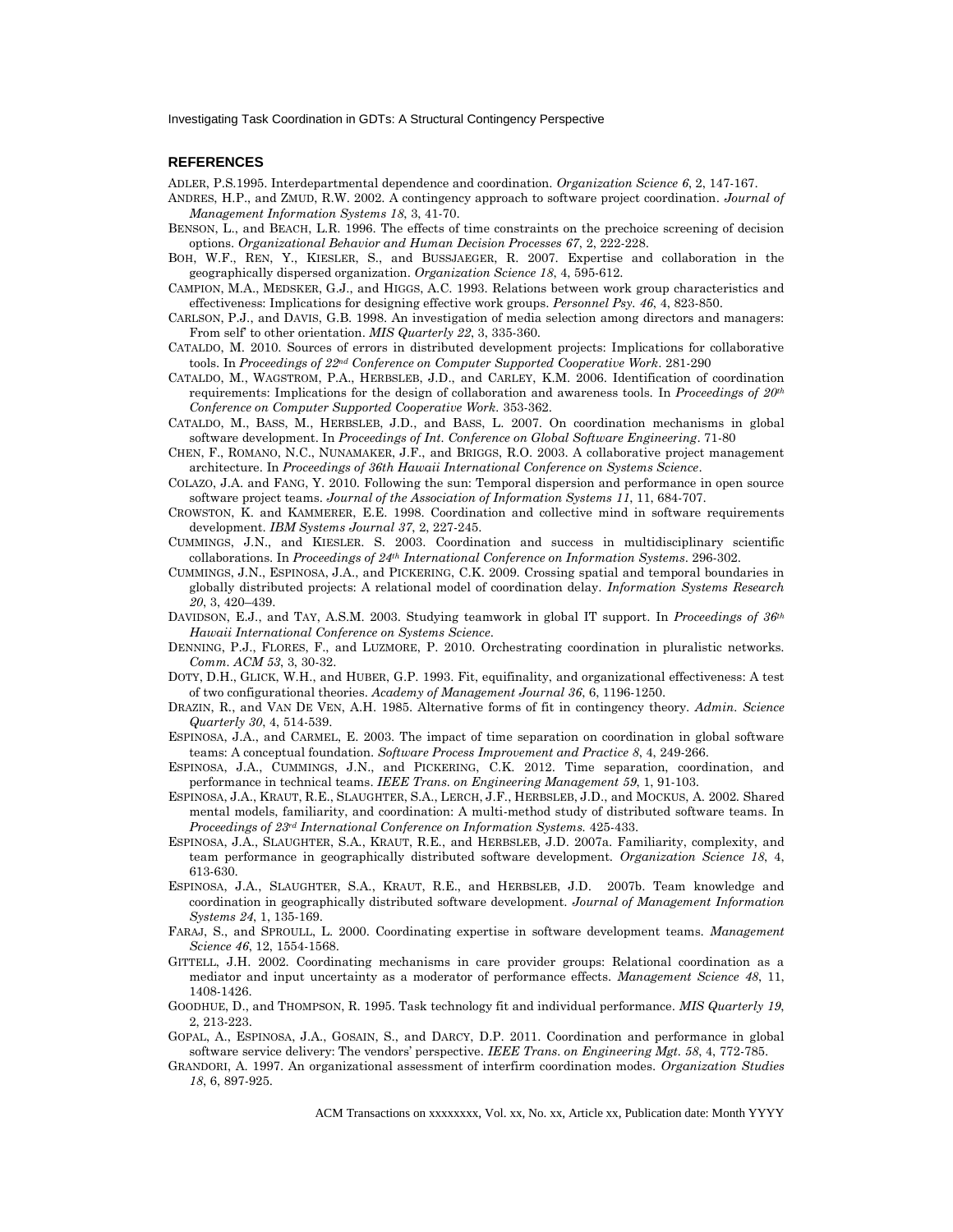#### **REFERENCES**

ADLER, P.S.1995. Interdepartmental dependence and coordination. *Organization Science 6*, 2, 147-167.

- ANDRES, H.P., and ZMUD, R.W. 2002. A contingency approach to software project coordination. *Journal of Management Information Systems 18*, 3, 41-70.
- BENSON, L., and BEACH, L.R. 1996. The effects of time constraints on the prechoice screening of decision options. *Organizational Behavior and Human Decision Processes 67*, 2, 222-228.
- BOH, W.F., REN, Y., KIESLER, S., and BUSSJAEGER, R. 2007. Expertise and collaboration in the geographically dispersed organization. *Organization Science 18*, 4, 595-612.
- CAMPION, M.A., MEDSKER, G.J., and HIGGS, A.C. 1993. Relations between work group characteristics and effectiveness: Implications for designing effective work groups. *Personnel Psy. 46*, 4, 823-850.
- CARLSON, P.J., and DAVIS, G.B. 1998. An investigation of media selection among directors and managers: From self' to other orientation. *MIS Quarterly 22*, 3, 335-360.
- CATALDO, M. 2010. Sources of errors in distributed development projects: Implications for collaborative tools. In *Proceedings of 22nd Conference on Computer Supported Cooperative Work*. 281-290
- CATALDO, M., WAGSTROM, P.A., HERBSLEB, J.D., and CARLEY, K.M. 2006. Identification of coordination requirements: Implications for the design of collaboration and awareness tools. In *Proceedings of 20th Conference on Computer Supported Cooperative Work.* 353-362.
- CATALDO, M., BASS, M., HERBSLEB, J.D., and BASS, L. 2007. On coordination mechanisms in global software development. In *Proceedings of Int. Conference on Global Software Engineering*. 71-80
- CHEN, F., ROMANO, N.C., NUNAMAKER, J.F., and BRIGGS, R.O. 2003. A collaborative project management architecture. In *Proceedings of 36th Hawaii International Conference on Systems Science*.
- COLAZO, J.A. and FANG, Y. 2010. Following the sun: Temporal dispersion and performance in open source software project teams. *Journal of the Association of Information Systems 11*, 11, 684-707.
- CROWSTON, K. and KAMMERER, E.E. 1998. Coordination and collective mind in software requirements development. *IBM Systems Journal 37*, 2, 227-245.
- CUMMINGS, J.N., and KIESLER. S. 2003. Coordination and success in multidisciplinary scientific collaborations. In *Proceedings of 24th International Conference on Information Systems*. 296-302.
- CUMMINGS, J.N., ESPINOSA, J.A., and PICKERING, C.K. 2009. Crossing spatial and temporal boundaries in globally distributed projects: A relational model of coordination delay. *Information Systems Research 20*, 3, 420–439.
- DAVIDSON, E.J., and TAY, A.S.M. 2003. Studying teamwork in global IT support. In *Proceedings of 36th Hawaii International Conference on Systems Science*.
- DENNING, P.J., FLORES, F., and LUZMORE, P. 2010. Orchestrating coordination in pluralistic networks. *Comm. ACM 53*, 3, 30-32.
- DOTY, D.H., GLICK, W.H., and HUBER, G.P. 1993. Fit, equifinality, and organizational effectiveness: A test of two configurational theories. *Academy of Management Journal 36*, 6, 1196-1250.
- DRAZIN, R., and VAN DE VEN, A.H. 1985. Alternative forms of fit in contingency theory. *Admin. Science Quarterly 30*, 4, 514-539.
- ESPINOSA, J.A., and CARMEL, E. 2003. The impact of time separation on coordination in global software teams: A conceptual foundation. *Software Process Improvement and Practice 8*, 4, 249-266.
- ESPINOSA, J.A., CUMMINGS, J.N., and PICKERING, C.K. 2012. Time separation, coordination, and performance in technical teams. *IEEE Trans. on Engineering Management 59*, 1, 91-103.
- ESPINOSA, J.A., KRAUT, R.E., SLAUGHTER, S.A., LERCH, J.F., HERBSLEB, J.D., and MOCKUS, A. 2002. Shared mental models, familiarity, and coordination: A multi-method study of distributed software teams. In *Proceedings of 23rd International Conference on Information Systems.* 425-433.
- ESPINOSA, J.A., SLAUGHTER, S.A., KRAUT, R.E., and HERBSLEB, J.D. 2007a. Familiarity, complexity, and team performance in geographically distributed software development. *Organization Science 18*, 4, 613-630.
- ESPINOSA, J.A., SLAUGHTER, S.A., KRAUT, R.E., and HERBSLEB, J.D. 2007b. Team knowledge and coordination in geographically distributed software development. *Journal of Management Information Systems 24*, 1, 135-169.
- FARAJ, S., and SPROULL, L. 2000. Coordinating expertise in software development teams. *Management Science 46*, 12, 1554-1568.
- GITTELL, J.H. 2002. Coordinating mechanisms in care provider groups: Relational coordination as a mediator and input uncertainty as a moderator of performance effects. *Management Science 48*, 11, 1408-1426.
- GOODHUE, D., and THOMPSON, R. 1995. Task technology fit and individual performance. *MIS Quarterly 19*, 2, 213-223.
- GOPAL, A., ESPINOSA, J.A., GOSAIN, S., and DARCY, D.P. 2011. Coordination and performance in global software service delivery: The vendors' perspective. *IEEE Trans. on Engineering Mgt. 58*, 4, 772-785.
- GRANDORI, A. 1997. An organizational assessment of interfirm coordination modes. *Organization Studies 18*, 6, 897-925.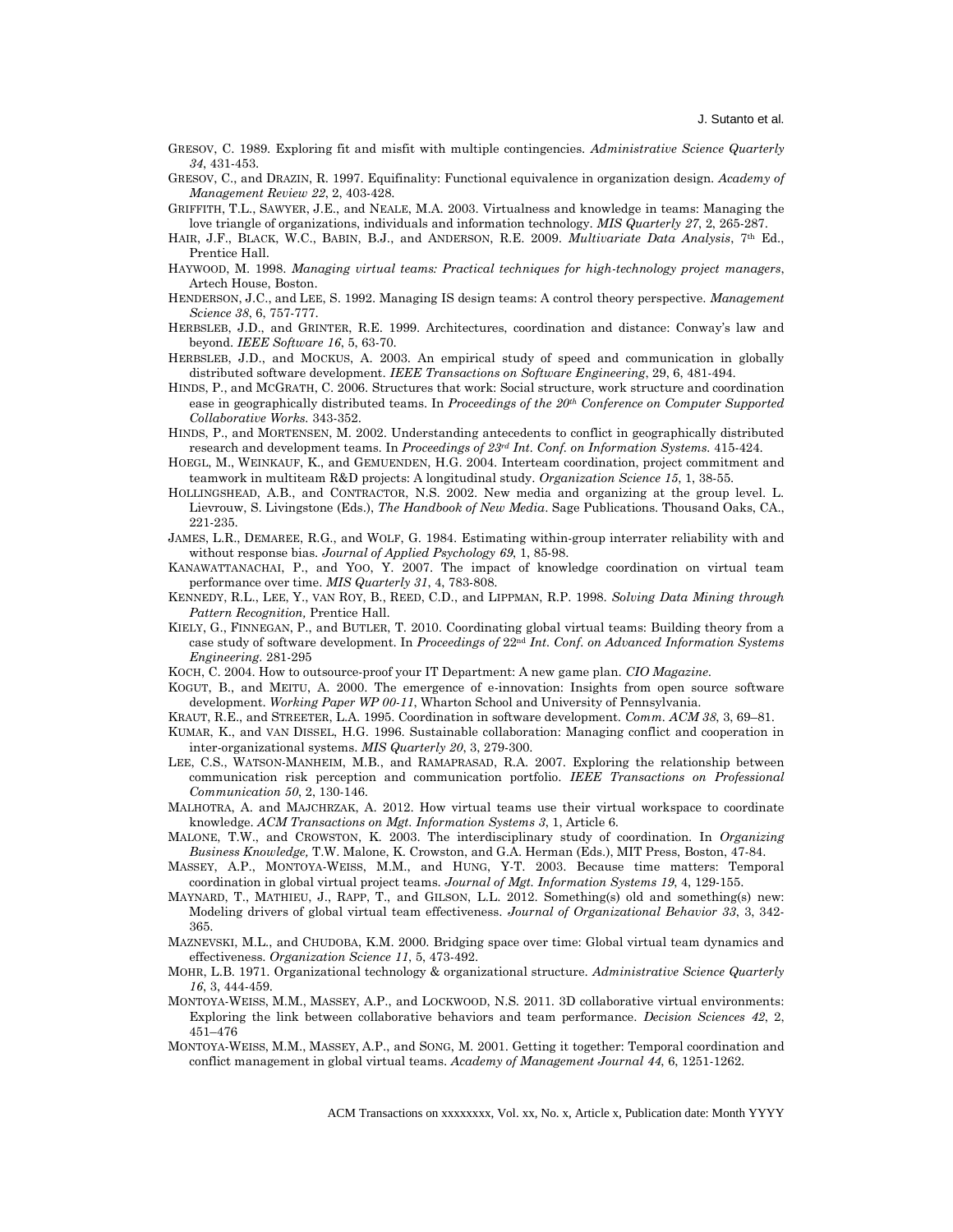- GRESOV, C. 1989. Exploring fit and misfit with multiple contingencies. *Administrative Science Quarterly 34*, 431-453.
- GRESOV, C., and DRAZIN, R. 1997. Equifinality: Functional equivalence in organization design. *Academy of Management Review 22*, 2, 403-428.
- GRIFFITH, T.L., SAWYER, J.E., and NEALE, M.A. 2003. Virtualness and knowledge in teams: Managing the love triangle of organizations, individuals and information technology. *MIS Quarterly 27*, 2, 265-287.
- HAIR, J.F., BLACK, W.C., BABIN, B.J., and ANDERSON, R.E. 2009. *Multivariate Data Analysis*, 7th Ed., Prentice Hall.
- HAYWOOD, M. 1998. *Managing virtual teams: Practical techniques for high-technology project managers*, Artech House, Boston.
- HENDERSON, J.C., and LEE, S. 1992. Managing IS design teams: A control theory perspective. *Management Science 38*, 6, 757-777.
- HERBSLEB, J.D., and GRINTER, R.E. 1999. Architectures, coordination and distance: Conway's law and beyond. *IEEE Software 16*, 5, 63-70.
- HERBSLEB, J.D., and MOCKUS, A. 2003. An empirical study of speed and communication in globally distributed software development. *IEEE Transactions on Software Engineering*, 29, 6, 481-494.
- HINDS, P., and MCGRATH, C. 2006. Structures that work: Social structure, work structure and coordination ease in geographically distributed teams. In *Proceedings of the 20th Conference on Computer Supported Collaborative Works.* 343-352.
- HINDS, P., and MORTENSEN, M. 2002. Understanding antecedents to conflict in geographically distributed research and development teams. In *Proceedings of 23rd Int. Conf. on Information Systems.* 415-424.
- HOEGL, M., WEINKAUF, K., and GEMUENDEN, H.G. 2004. Interteam coordination, project commitment and teamwork in multiteam R&D projects: A longitudinal study. *Organization Science 15*, 1, 38-55.
- HOLLINGSHEAD, A.B., and CONTRACTOR, N.S. 2002. New media and organizing at the group level. L. Lievrouw, S. Livingstone (Eds.), *The Handbook of New Media*. Sage Publications. Thousand Oaks, CA., 221-235.
- JAMES, L.R., DEMAREE, R.G., and WOLF, G. 1984. Estimating within-group interrater reliability with and without response bias. *Journal of Applied Psychology 69*, 1, 85-98.
- KANAWATTANACHAI, P., and YOO, Y. 2007. The impact of knowledge coordination on virtual team performance over time. *MIS Quarterly 31*, 4, 783-808.
- KENNEDY, R.L., LEE, Y., VAN ROY, B., REED, C.D., and LIPPMAN, R.P. 1998. *Solving Data Mining through Pattern Recognition,* Prentice Hall.
- KIELY, G., FINNEGAN, P., and BUTLER, T. 2010. Coordinating global virtual teams: Building theory from a case study of software development. In *Proceedings of* 22nd *Int. Conf. on Advanced Information Systems Engineering.* 281-295
- KOCH, C. 2004. How to outsource-proof your IT Department: A new game plan. *CIO Magazine*.
- KOGUT, B., and MEITU, A. 2000. The emergence of e-innovation: Insights from open source software development. *Working Paper WP 00-11*, Wharton School and University of Pennsylvania.
- KRAUT, R.E., and STREETER, L.A. 1995. Coordination in software development. *Comm. ACM 38*, 3, 69–81.
- KUMAR, K., and VAN DISSEL, H.G. 1996. Sustainable collaboration: Managing conflict and cooperation in inter-organizational systems. *MIS Quarterly 20*, 3, 279-300.
- LEE, C.S., WATSON-MANHEIM, M.B., and RAMAPRASAD, R.A. 2007. Exploring the relationship between communication risk perception and communication portfolio. *IEEE Transactions on Professional Communication 50*, 2, 130-146.
- MALHOTRA, A. and MAJCHRZAK, A. 2012. How virtual teams use their virtual workspace to coordinate knowledge. *ACM Transactions on Mgt. Information Systems 3*, 1, Article 6.
- MALONE, T.W., and CROWSTON, K. 2003. The interdisciplinary study of coordination. In *Organizing Business Knowledge,* T.W. Malone, K. Crowston, and G.A. Herman (Eds.), MIT Press, Boston, 47-84.
- MASSEY, A.P., MONTOYA-WEISS, M.M., and HUNG, Y-T. 2003. Because time matters: Temporal coordination in global virtual project teams. *Journal of Mgt. Information Systems 19*, 4, 129-155.
- MAYNARD, T., MATHIEU, J., RAPP, T., and GILSON, L.L. 2012. Something(s) old and something(s) new: Modeling drivers of global virtual team effectiveness. *Journal of Organizational Behavior 33*, 3, 342- 365.
- MAZNEVSKI, M.L., and CHUDOBA, K.M. 2000. Bridging space over time: Global virtual team dynamics and effectiveness. *Organization Science 11*, 5, 473-492.
- MOHR, L.B. 1971. Organizational technology & organizational structure. *Administrative Science Quarterly 16*, 3, 444-459.
- MONTOYA-WEISS, M.M., MASSEY, A.P., and LOCKWOOD, N.S. 2011. 3D collaborative virtual environments: Exploring the link between collaborative behaviors and team performance. *Decision Sciences 42*, 2, 451–476
- MONTOYA-WEISS, M.M., MASSEY, A.P., and SONG, M. 2001. Getting it together: Temporal coordination and conflict management in global virtual teams. *Academy of Management Journal 44*, 6, 1251-1262.